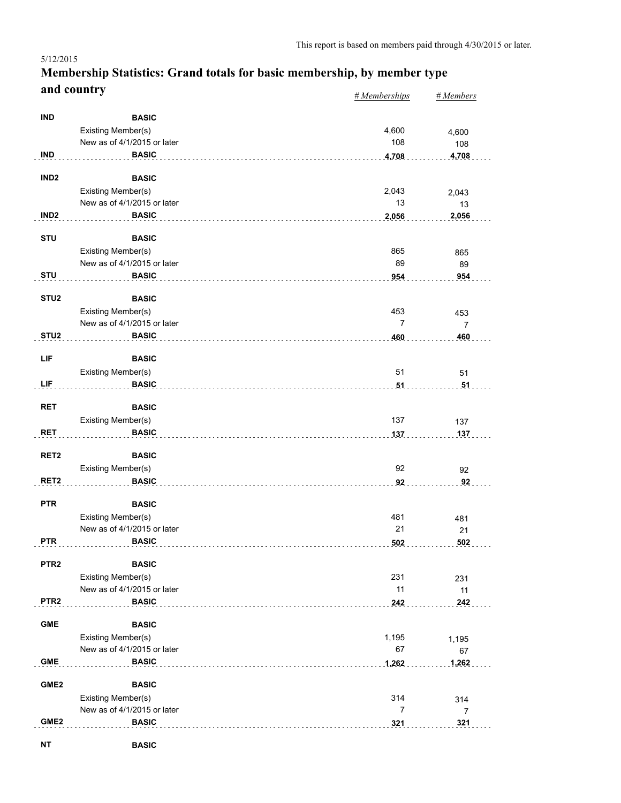#### *# Memberships # Members* **Membership Statistics: Grand totals for basic membership, by member type and country** 5/12/2015

|                  |                             | $\pi$ <i>member snips</i> | $\pi$ <i>wienivers</i> |
|------------------|-----------------------------|---------------------------|------------------------|
| <b>IND</b>       | <b>BASIC</b>                |                           |                        |
|                  |                             |                           |                        |
|                  | Existing Member(s)          | 4,600                     | 4,600                  |
|                  | New as of 4/1/2015 or later | 108                       | 108                    |
| <b>IND</b>       | <b>BASIC</b>                | 4,708                     | 4,708                  |
| IND <sub>2</sub> | <b>BASIC</b>                |                           |                        |
|                  |                             |                           |                        |
|                  | Existing Member(s)          | 2,043                     | 2,043                  |
|                  | New as of 4/1/2015 or later | 13                        | 13                     |
| IND <sub>2</sub> | <b>BASIC</b>                | 2,056                     | 2,056                  |
| <b>STU</b>       |                             |                           |                        |
|                  | <b>BASIC</b>                |                           |                        |
|                  | Existing Member(s)          | 865                       | 865                    |
|                  | New as of 4/1/2015 or later | 89                        | 89                     |
| <b>STU</b>       | <b>BASIC</b>                | 954                       | 954                    |
| STU <sub>2</sub> | <b>BASIC</b>                |                           |                        |
|                  |                             |                           |                        |
|                  | <b>Existing Member(s)</b>   | 453                       | 453                    |
|                  | New as of 4/1/2015 or later | 7                         | $\overline{7}$         |
| STU <sub>2</sub> | <b>BASIC</b>                | 460                       | 460                    |
|                  |                             |                           |                        |
| LIF              | <b>BASIC</b>                |                           |                        |
|                  | Existing Member(s)          | 51                        | 51                     |
| LIF              | <b>BASIC</b>                | 51                        | 51                     |
|                  |                             |                           |                        |
| <b>RET</b>       | <b>BASIC</b>                |                           |                        |
|                  | Existing Member(s)          | 137                       | 137                    |
| <b>RET</b>       | <b>BASIC</b>                | 137                       | 137                    |
|                  |                             |                           |                        |
| RET <sub>2</sub> | <b>BASIC</b>                |                           |                        |
|                  | Existing Member(s)          | 92                        | 92                     |
| RET <sub>2</sub> | <b>BASIC</b>                | 92                        | 92                     |
|                  |                             |                           |                        |
| <b>PTR</b>       | <b>BASIC</b>                |                           |                        |
|                  | <b>Existing Member(s)</b>   | 481                       | 481                    |
|                  | New as of 4/1/2015 or later | 21                        | 21                     |
| <b>PTR</b>       | <b>BASIC</b>                | 502                       | 502                    |
|                  |                             |                           |                        |
| PTR <sub>2</sub> | <b>BASIC</b>                |                           |                        |
|                  | Existing Member(s)          | 231                       | 231                    |
|                  | New as of 4/1/2015 or later | 11                        | 11                     |
| PTR <sub>2</sub> | <b>BASIC</b>                | 242                       | 242                    |
|                  |                             |                           |                        |
| <b>GME</b>       | <b>BASIC</b>                |                           |                        |
|                  | Existing Member(s)          | 1,195                     | 1,195                  |
|                  | New as of 4/1/2015 or later | 67                        | 67                     |
| <b>GME</b>       | <b>BASIC</b>                | 1,262                     | 1,262                  |
|                  |                             |                           |                        |
| GME <sub>2</sub> | <b>BASIC</b>                |                           |                        |
|                  | Existing Member(s)          | 314                       | 314                    |
|                  | New as of 4/1/2015 or later | $\overline{7}$            | $\overline{7}$         |
| GME <sub>2</sub> | <b>BASIC</b>                | 321                       | 321                    |
|                  |                             |                           |                        |

**NT BASIC**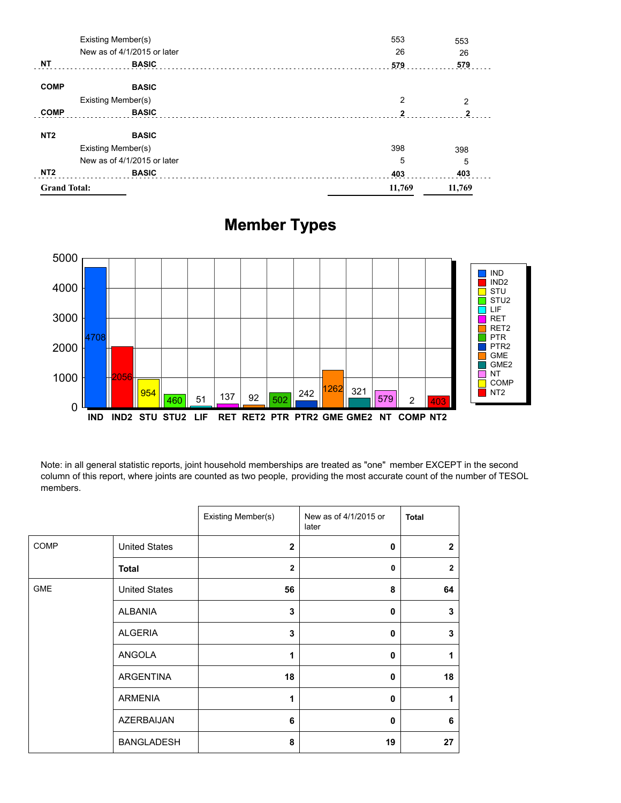| <b>Grand Total:</b> |                             | 11,769         | 11,769       |
|---------------------|-----------------------------|----------------|--------------|
| NT <sub>2</sub>     | <b>BASIC</b>                | 403            | 403          |
|                     | New as of 4/1/2015 or later | 5              | 5            |
|                     | Existing Member(s)          | 398            | 398          |
| NT <sub>2</sub>     | <b>BASIC</b>                |                |              |
| <b>COMP</b>         | <b>BASIC</b>                | $\mathfrak{p}$ | $\mathbf{2}$ |
|                     | Existing Member(s)          | 2              | 2            |
| <b>COMP</b>         | <b>BASIC</b>                |                |              |
| <b>NT</b>           | <b>BASIC</b>                | 579            | 579          |
|                     | New as of 4/1/2015 or later | 26             | 26           |
|                     | Existing Member(s)          | 553            | 553          |

# **Member Types**



Note: in all general statistic reports, joint household memberships are treated as "one" member EXCEPT in the second column of this report, where joints are counted as two people, providing the most accurate count of the number of TESOL members.

|            |                      | Existing Member(s) | New as of 4/1/2015 or<br>later | <b>Total</b>   |
|------------|----------------------|--------------------|--------------------------------|----------------|
| COMP       | <b>United States</b> | $\mathbf{2}$       | 0                              | $\overline{2}$ |
|            | <b>Total</b>         | $\overline{2}$     | $\mathbf 0$                    | $\overline{2}$ |
| <b>GME</b> | <b>United States</b> | 56                 | 8                              | 64             |
|            | ALBANIA              | 3                  | 0                              | 3              |
|            | <b>ALGERIA</b>       | 3                  | 0                              | 3              |
|            | ANGOLA               | 1                  | 0                              | 1              |
|            | <b>ARGENTINA</b>     | 18                 | 0                              | 18             |
|            | <b>ARMENIA</b>       | 1                  | 0                              | 1              |
|            | AZERBAIJAN           | 6                  | 0                              | 6              |
|            | <b>BANGLADESH</b>    | 8                  | 19                             | 27             |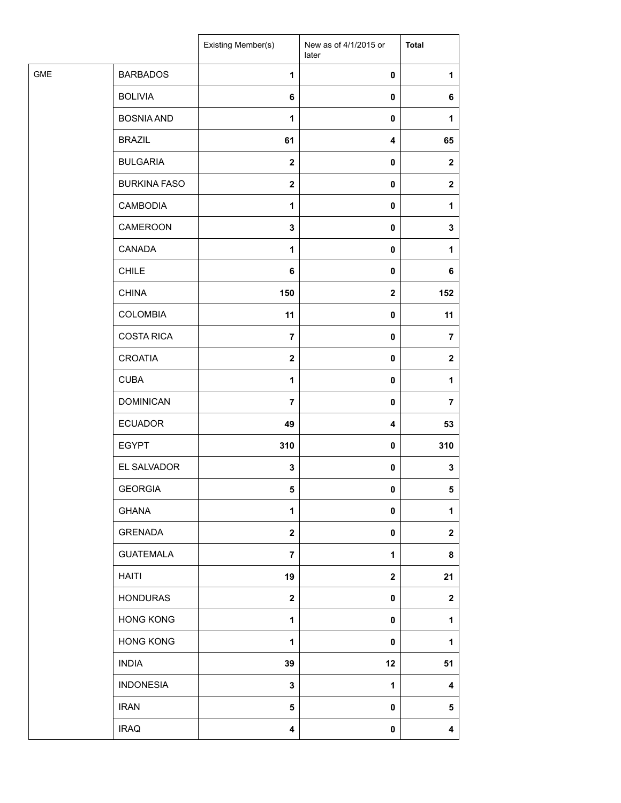|            |                     | Existing Member(s)      | New as of 4/1/2015 or<br>later | <b>Total</b>            |
|------------|---------------------|-------------------------|--------------------------------|-------------------------|
| <b>GME</b> | <b>BARBADOS</b>     | 1                       | 0                              | 1                       |
|            | <b>BOLIVIA</b>      | 6                       | 0                              | 6                       |
|            | <b>BOSNIA AND</b>   | 1                       | 0                              | 1                       |
|            | <b>BRAZIL</b>       | 61                      | 4                              | 65                      |
|            | <b>BULGARIA</b>     | $\mathbf{2}$            | 0                              | $\mathbf 2$             |
|            | <b>BURKINA FASO</b> | $\mathbf 2$             | 0                              | $\mathbf{2}$            |
|            | <b>CAMBODIA</b>     | $\mathbf{1}$            | 0                              | 1                       |
|            | CAMEROON            | $\mathbf 3$             | 0                              | 3                       |
|            | CANADA              | $\mathbf{1}$            | 0                              | 1                       |
|            | <b>CHILE</b>        | 6                       | 0                              | 6                       |
|            | <b>CHINA</b>        | 150                     | $\mathbf 2$                    | 152                     |
|            | <b>COLOMBIA</b>     | 11                      | 0                              | 11                      |
|            | <b>COSTA RICA</b>   | $\overline{7}$          | $\pmb{0}$                      | 7                       |
|            | <b>CROATIA</b>      | $\mathbf{2}$            | $\pmb{0}$                      | $\mathbf{2}$            |
|            | <b>CUBA</b>         | 1                       | 0                              | 1                       |
|            | <b>DOMINICAN</b>    | $\overline{\mathbf{r}}$ | 0                              | $\overline{\mathbf{r}}$ |
|            | <b>ECUADOR</b>      | 49                      | 4                              | 53                      |
|            | <b>EGYPT</b>        | 310                     | 0                              | 310                     |
|            | EL SALVADOR         | $\mathbf 3$             | $\pmb{0}$                      | 3                       |
|            | <b>GEORGIA</b>      | 5                       | 0                              | 5                       |
|            | <b>GHANA</b>        | 1                       | $\pmb{0}$                      | 1                       |
|            | <b>GRENADA</b>      | $\mathbf 2$             | 0                              | $\mathbf 2$             |
|            | <b>GUATEMALA</b>    | $\overline{7}$          | 1                              | 8                       |
|            | HAITI               | 19                      | $\mathbf 2$                    | 21                      |
|            | <b>HONDURAS</b>     | $\mathbf 2$             | 0                              | $\mathbf 2$             |
|            | <b>HONG KONG</b>    | $\mathbf{1}$            | 0                              | 1                       |
|            | <b>HONG KONG</b>    | $\mathbf{1}$            | $\pmb{0}$                      | 1                       |
|            | <b>INDIA</b>        | 39                      | 12                             | 51                      |
|            | <b>INDONESIA</b>    | 3                       | 1                              | 4                       |
|            | <b>IRAN</b>         | 5                       | 0                              | 5                       |
|            | <b>IRAQ</b>         | $\overline{\mathbf{4}}$ | 0                              | 4                       |
|            |                     |                         |                                |                         |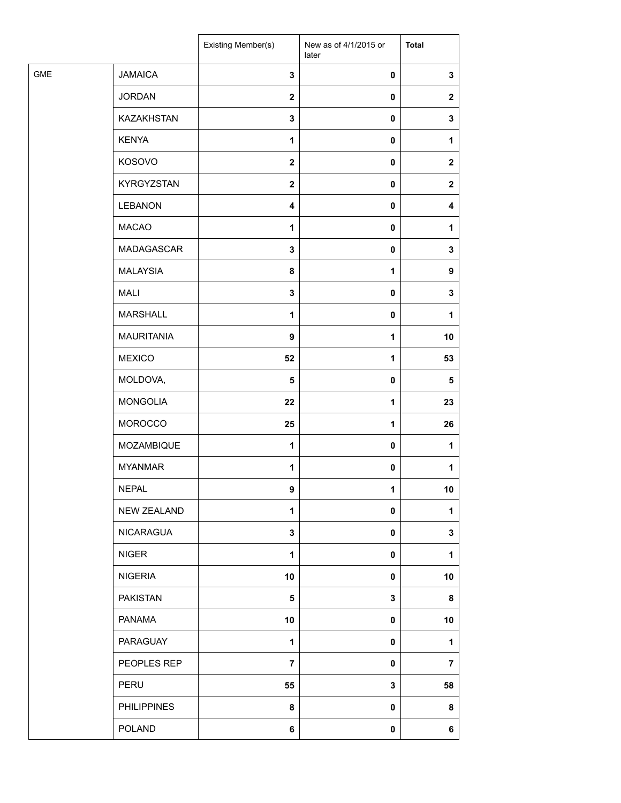| <b>JAMAICA</b><br>$\mathbf 3$<br>$\pmb{0}$<br>3<br><b>JORDAN</b><br>$\boldsymbol{2}$<br>$\pmb{0}$<br>$\mathbf{2}$<br>KAZAKHSTAN<br>$\mathbf 3$<br>$\pmb{0}$<br>3<br><b>KENYA</b><br>1<br>$\pmb{0}$<br>1<br>KOSOVO<br>$\boldsymbol{2}$<br>0<br>$\mathbf{2}$<br><b>KYRGYZSTAN</b><br>$\mathbf{2}$<br>$\pmb{0}$<br>$\mathbf{2}$<br><b>LEBANON</b><br>$\overline{\mathbf{4}}$<br>$\pmb{0}$<br>4<br><b>MACAO</b><br>1<br>$\pmb{0}$<br>1<br>MADAGASCAR<br>3<br>$\pmb{0}$<br>3<br><b>MALAYSIA</b><br>8<br>1<br>9<br><b>MALI</b><br>3<br>$\pmb{0}$<br>3<br><b>MARSHALL</b><br>$\mathbf{1}$<br>$\pmb{0}$<br>1<br><b>MAURITANIA</b><br>$\mathbf{1}$<br>10<br>9<br><b>MEXICO</b><br>52<br>1<br>53<br>MOLDOVA,<br>5<br>$\pmb{0}$<br>$\sqrt{5}$<br><b>MONGOLIA</b><br>22<br>1<br>23<br><b>MOROCCO</b><br>$\mathbf{1}$<br>25<br>26<br>MOZAMBIQUE<br>1<br>$\pmb{0}$<br>1<br><b>MYANMAR</b><br>$\mathbf{1}$<br>$\pmb{0}$<br>1<br><b>NEPAL</b><br>9<br>1<br>10<br><b>NEW ZEALAND</b><br>1<br>$\pmb{0}$<br>1<br>NICARAGUA<br>$\mathbf 3$<br>$\pmb{0}$<br>3<br><b>NIGER</b><br>1<br>$\pmb{0}$<br>1<br><b>NIGERIA</b><br>10<br>$\pmb{0}$<br>10<br><b>PAKISTAN</b><br>3<br>5<br>8<br>PANAMA<br>10<br>10<br>0<br>PARAGUAY<br>1<br>$\pmb{0}$<br>1<br>PEOPLES REP<br>$\overline{7}$<br>$\pmb{0}$<br>$\overline{7}$<br>PERU<br>55<br>3<br>58<br><b>PHILIPPINES</b><br>8<br>$\pmb{0}$<br>8<br>POLAND<br>6<br>$\pmb{0}$<br>6 |            | Existing Member(s) | New as of 4/1/2015 or<br>later | <b>Total</b> |
|---------------------------------------------------------------------------------------------------------------------------------------------------------------------------------------------------------------------------------------------------------------------------------------------------------------------------------------------------------------------------------------------------------------------------------------------------------------------------------------------------------------------------------------------------------------------------------------------------------------------------------------------------------------------------------------------------------------------------------------------------------------------------------------------------------------------------------------------------------------------------------------------------------------------------------------------------------------------------------------------------------------------------------------------------------------------------------------------------------------------------------------------------------------------------------------------------------------------------------------------------------------------------------------------------------------------------------------------------------------------------------------------------|------------|--------------------|--------------------------------|--------------|
|                                                                                                                                                                                                                                                                                                                                                                                                                                                                                                                                                                                                                                                                                                                                                                                                                                                                                                                                                                                                                                                                                                                                                                                                                                                                                                                                                                                                   | <b>GME</b> |                    |                                |              |
|                                                                                                                                                                                                                                                                                                                                                                                                                                                                                                                                                                                                                                                                                                                                                                                                                                                                                                                                                                                                                                                                                                                                                                                                                                                                                                                                                                                                   |            |                    |                                |              |
|                                                                                                                                                                                                                                                                                                                                                                                                                                                                                                                                                                                                                                                                                                                                                                                                                                                                                                                                                                                                                                                                                                                                                                                                                                                                                                                                                                                                   |            |                    |                                |              |
|                                                                                                                                                                                                                                                                                                                                                                                                                                                                                                                                                                                                                                                                                                                                                                                                                                                                                                                                                                                                                                                                                                                                                                                                                                                                                                                                                                                                   |            |                    |                                |              |
|                                                                                                                                                                                                                                                                                                                                                                                                                                                                                                                                                                                                                                                                                                                                                                                                                                                                                                                                                                                                                                                                                                                                                                                                                                                                                                                                                                                                   |            |                    |                                |              |
|                                                                                                                                                                                                                                                                                                                                                                                                                                                                                                                                                                                                                                                                                                                                                                                                                                                                                                                                                                                                                                                                                                                                                                                                                                                                                                                                                                                                   |            |                    |                                |              |
|                                                                                                                                                                                                                                                                                                                                                                                                                                                                                                                                                                                                                                                                                                                                                                                                                                                                                                                                                                                                                                                                                                                                                                                                                                                                                                                                                                                                   |            |                    |                                |              |
|                                                                                                                                                                                                                                                                                                                                                                                                                                                                                                                                                                                                                                                                                                                                                                                                                                                                                                                                                                                                                                                                                                                                                                                                                                                                                                                                                                                                   |            |                    |                                |              |
|                                                                                                                                                                                                                                                                                                                                                                                                                                                                                                                                                                                                                                                                                                                                                                                                                                                                                                                                                                                                                                                                                                                                                                                                                                                                                                                                                                                                   |            |                    |                                |              |
|                                                                                                                                                                                                                                                                                                                                                                                                                                                                                                                                                                                                                                                                                                                                                                                                                                                                                                                                                                                                                                                                                                                                                                                                                                                                                                                                                                                                   |            |                    |                                |              |
|                                                                                                                                                                                                                                                                                                                                                                                                                                                                                                                                                                                                                                                                                                                                                                                                                                                                                                                                                                                                                                                                                                                                                                                                                                                                                                                                                                                                   |            |                    |                                |              |
|                                                                                                                                                                                                                                                                                                                                                                                                                                                                                                                                                                                                                                                                                                                                                                                                                                                                                                                                                                                                                                                                                                                                                                                                                                                                                                                                                                                                   |            |                    |                                |              |
|                                                                                                                                                                                                                                                                                                                                                                                                                                                                                                                                                                                                                                                                                                                                                                                                                                                                                                                                                                                                                                                                                                                                                                                                                                                                                                                                                                                                   |            |                    |                                |              |
|                                                                                                                                                                                                                                                                                                                                                                                                                                                                                                                                                                                                                                                                                                                                                                                                                                                                                                                                                                                                                                                                                                                                                                                                                                                                                                                                                                                                   |            |                    |                                |              |
|                                                                                                                                                                                                                                                                                                                                                                                                                                                                                                                                                                                                                                                                                                                                                                                                                                                                                                                                                                                                                                                                                                                                                                                                                                                                                                                                                                                                   |            |                    |                                |              |
|                                                                                                                                                                                                                                                                                                                                                                                                                                                                                                                                                                                                                                                                                                                                                                                                                                                                                                                                                                                                                                                                                                                                                                                                                                                                                                                                                                                                   |            |                    |                                |              |
|                                                                                                                                                                                                                                                                                                                                                                                                                                                                                                                                                                                                                                                                                                                                                                                                                                                                                                                                                                                                                                                                                                                                                                                                                                                                                                                                                                                                   |            |                    |                                |              |
|                                                                                                                                                                                                                                                                                                                                                                                                                                                                                                                                                                                                                                                                                                                                                                                                                                                                                                                                                                                                                                                                                                                                                                                                                                                                                                                                                                                                   |            |                    |                                |              |
|                                                                                                                                                                                                                                                                                                                                                                                                                                                                                                                                                                                                                                                                                                                                                                                                                                                                                                                                                                                                                                                                                                                                                                                                                                                                                                                                                                                                   |            |                    |                                |              |
|                                                                                                                                                                                                                                                                                                                                                                                                                                                                                                                                                                                                                                                                                                                                                                                                                                                                                                                                                                                                                                                                                                                                                                                                                                                                                                                                                                                                   |            |                    |                                |              |
|                                                                                                                                                                                                                                                                                                                                                                                                                                                                                                                                                                                                                                                                                                                                                                                                                                                                                                                                                                                                                                                                                                                                                                                                                                                                                                                                                                                                   |            |                    |                                |              |
|                                                                                                                                                                                                                                                                                                                                                                                                                                                                                                                                                                                                                                                                                                                                                                                                                                                                                                                                                                                                                                                                                                                                                                                                                                                                                                                                                                                                   |            |                    |                                |              |
|                                                                                                                                                                                                                                                                                                                                                                                                                                                                                                                                                                                                                                                                                                                                                                                                                                                                                                                                                                                                                                                                                                                                                                                                                                                                                                                                                                                                   |            |                    |                                |              |
|                                                                                                                                                                                                                                                                                                                                                                                                                                                                                                                                                                                                                                                                                                                                                                                                                                                                                                                                                                                                                                                                                                                                                                                                                                                                                                                                                                                                   |            |                    |                                |              |
|                                                                                                                                                                                                                                                                                                                                                                                                                                                                                                                                                                                                                                                                                                                                                                                                                                                                                                                                                                                                                                                                                                                                                                                                                                                                                                                                                                                                   |            |                    |                                |              |
|                                                                                                                                                                                                                                                                                                                                                                                                                                                                                                                                                                                                                                                                                                                                                                                                                                                                                                                                                                                                                                                                                                                                                                                                                                                                                                                                                                                                   |            |                    |                                |              |
|                                                                                                                                                                                                                                                                                                                                                                                                                                                                                                                                                                                                                                                                                                                                                                                                                                                                                                                                                                                                                                                                                                                                                                                                                                                                                                                                                                                                   |            |                    |                                |              |
|                                                                                                                                                                                                                                                                                                                                                                                                                                                                                                                                                                                                                                                                                                                                                                                                                                                                                                                                                                                                                                                                                                                                                                                                                                                                                                                                                                                                   |            |                    |                                |              |
|                                                                                                                                                                                                                                                                                                                                                                                                                                                                                                                                                                                                                                                                                                                                                                                                                                                                                                                                                                                                                                                                                                                                                                                                                                                                                                                                                                                                   |            |                    |                                |              |
|                                                                                                                                                                                                                                                                                                                                                                                                                                                                                                                                                                                                                                                                                                                                                                                                                                                                                                                                                                                                                                                                                                                                                                                                                                                                                                                                                                                                   |            |                    |                                |              |
|                                                                                                                                                                                                                                                                                                                                                                                                                                                                                                                                                                                                                                                                                                                                                                                                                                                                                                                                                                                                                                                                                                                                                                                                                                                                                                                                                                                                   |            |                    |                                |              |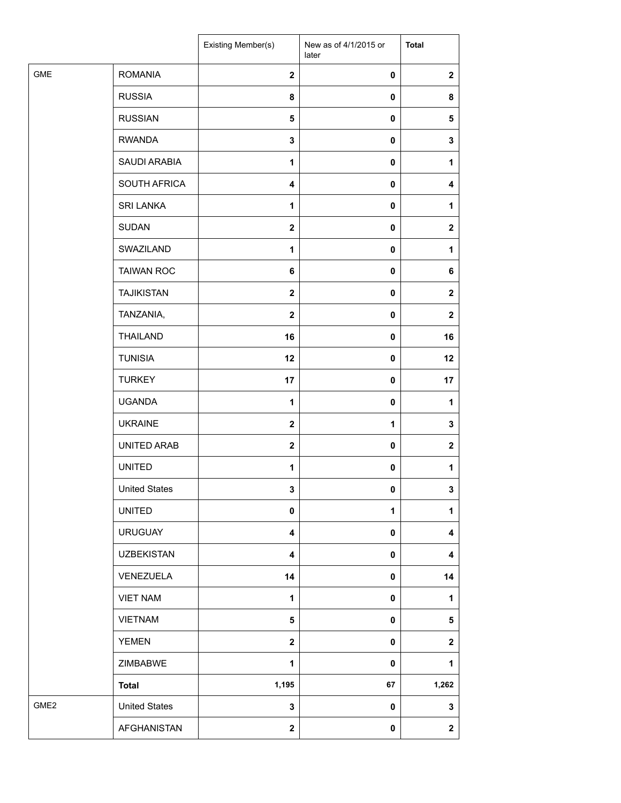|                  |                      | Existing Member(s)      | New as of 4/1/2015 or<br>later | <b>Total</b> |
|------------------|----------------------|-------------------------|--------------------------------|--------------|
| <b>GME</b>       | <b>ROMANIA</b>       | $\overline{2}$          | $\mathbf 0$                    | $\mathbf 2$  |
|                  | <b>RUSSIA</b>        | 8                       | 0                              | 8            |
|                  | <b>RUSSIAN</b>       | $\overline{\mathbf{5}}$ | 0                              | 5            |
|                  | <b>RWANDA</b>        | 3                       | $\mathbf 0$                    | 3            |
|                  | SAUDI ARABIA         | 1                       | $\mathbf 0$                    | 1            |
|                  | SOUTH AFRICA         | $\overline{\mathbf{4}}$ | $\mathbf 0$                    | 4            |
|                  | <b>SRI LANKA</b>     | 1                       | $\pmb{0}$                      | 1            |
|                  | <b>SUDAN</b>         | $\overline{\mathbf{2}}$ | 0                              | $\mathbf 2$  |
|                  | SWAZILAND            | 1                       | $\mathbf 0$                    | 1            |
|                  | <b>TAIWAN ROC</b>    | 6                       | 0                              | 6            |
|                  | <b>TAJIKISTAN</b>    | $\mathbf{2}$            | $\mathbf 0$                    | $\mathbf 2$  |
|                  | TANZANIA,            | $\mathbf{2}$            | $\pmb{0}$                      | $\mathbf 2$  |
|                  | <b>THAILAND</b>      | 16                      | $\mathbf 0$                    | 16           |
|                  | <b>TUNISIA</b>       | 12                      | 0                              | 12           |
|                  | <b>TURKEY</b>        | 17                      | 0                              | 17           |
|                  | <b>UGANDA</b>        | 1                       | 0                              | 1            |
|                  | <b>UKRAINE</b>       | $\mathbf{2}$            | 1                              | 3            |
|                  | UNITED ARAB          | $\mathbf{2}$            | $\pmb{0}$                      | $\mathbf 2$  |
|                  | <b>UNITED</b>        | 1                       | 0                              | 1            |
|                  | <b>United States</b> | 3                       | 0                              | 3            |
|                  | <b>UNITED</b>        | $\mathbf 0$             | 1                              | 1            |
|                  | <b>URUGUAY</b>       | 4                       | 0                              | 4            |
|                  | <b>UZBEKISTAN</b>    | 4                       | $\pmb{0}$                      | 4            |
|                  | VENEZUELA            | 14                      | $\pmb{0}$                      | 14           |
|                  | <b>VIET NAM</b>      | 1                       | 0                              | 1            |
|                  | <b>VIETNAM</b>       | 5                       | 0                              | 5            |
|                  | <b>YEMEN</b>         | $\mathbf{2}$            | 0                              | $\mathbf 2$  |
|                  | ZIMBABWE             | 1                       | 0                              | 1            |
|                  | <b>Total</b>         | 1,195                   | 67                             | 1,262        |
| GME <sub>2</sub> | <b>United States</b> | $\mathbf 3$             | 0                              | 3            |
|                  | AFGHANISTAN          | $\mathbf{2}$            | $\pmb{0}$                      | $\mathbf{2}$ |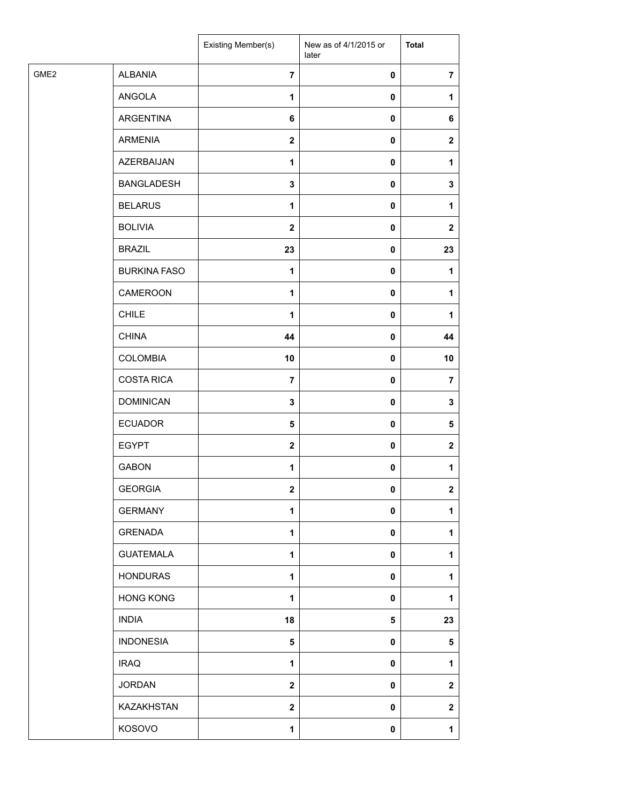|      |                     | Existing Member(s)      | New as of 4/1/2015 or<br>later | <b>Total</b>   |
|------|---------------------|-------------------------|--------------------------------|----------------|
| GME2 | <b>ALBANIA</b>      | $\overline{7}$          | $\pmb{0}$                      | $\overline{7}$ |
|      | ANGOLA              | $\mathbf{1}$            | 0                              | $\mathbf{1}$   |
|      | ARGENTINA           | 6                       | $\pmb{0}$                      | 6              |
|      | <b>ARMENIA</b>      | $\mathbf 2$             | 0                              | $\mathbf 2$    |
|      | AZERBAIJAN          | $\mathbf{1}$            | 0                              | $\mathbf{1}$   |
|      | <b>BANGLADESH</b>   | 3                       | $\pmb{0}$                      | 3              |
|      | <b>BELARUS</b>      | $\mathbf{1}$            | $\pmb{0}$                      | $\mathbf{1}$   |
|      | <b>BOLIVIA</b>      | $\mathbf{2}$            | 0                              | $\mathbf{2}$   |
|      | <b>BRAZIL</b>       | 23                      | 0                              | 23             |
|      | <b>BURKINA FASO</b> | 1                       | 0                              | 1              |
|      | CAMEROON            | 1                       | 0                              | $\mathbf{1}$   |
|      | <b>CHILE</b>        | $\mathbf{1}$            | $\pmb{0}$                      | $\mathbf{1}$   |
|      | <b>CHINA</b>        | 44                      | $\pmb{0}$                      | 44             |
|      | <b>COLOMBIA</b>     | 10                      | 0                              | 10             |
|      | <b>COSTA RICA</b>   | $\overline{7}$          | 0                              | $\overline{7}$ |
|      | <b>DOMINICAN</b>    | 3                       | 0                              | 3              |
|      | <b>ECUADOR</b>      | 5                       | 0                              | 5              |
|      | <b>EGYPT</b>        | $\mathbf 2$             | $\pmb{0}$                      | $\mathbf{2}$   |
|      | <b>GABON</b>        | 1                       | 0                              | 1              |
|      | <b>GEORGIA</b>      | $\mathbf 2$             | 0                              | $\overline{2}$ |
|      | <b>GERMANY</b>      | $\mathbf{1}$            | 0                              | 1              |
|      | <b>GRENADA</b>      | 1                       | 0                              | 1              |
|      | <b>GUATEMALA</b>    | 1                       | 0                              | 1              |
|      | <b>HONDURAS</b>     | $\mathbf{1}$            | 0                              | 1              |
|      | <b>HONG KONG</b>    | 1                       | $\pmb{0}$                      | 1              |
|      | <b>INDIA</b>        | 18                      | 5                              | 23             |
|      | <b>INDONESIA</b>    | 5                       | 0                              | $\sqrt{5}$     |
|      | <b>IRAQ</b>         | 1                       | 0                              | 1              |
|      | <b>JORDAN</b>       | $\mathbf 2$             | 0                              | $\mathbf{2}$   |
|      | KAZAKHSTAN          | $\overline{\mathbf{2}}$ | 0                              | $\mathbf 2$    |
|      | KOSOVO              | 1                       | 0                              | $\mathbf{1}$   |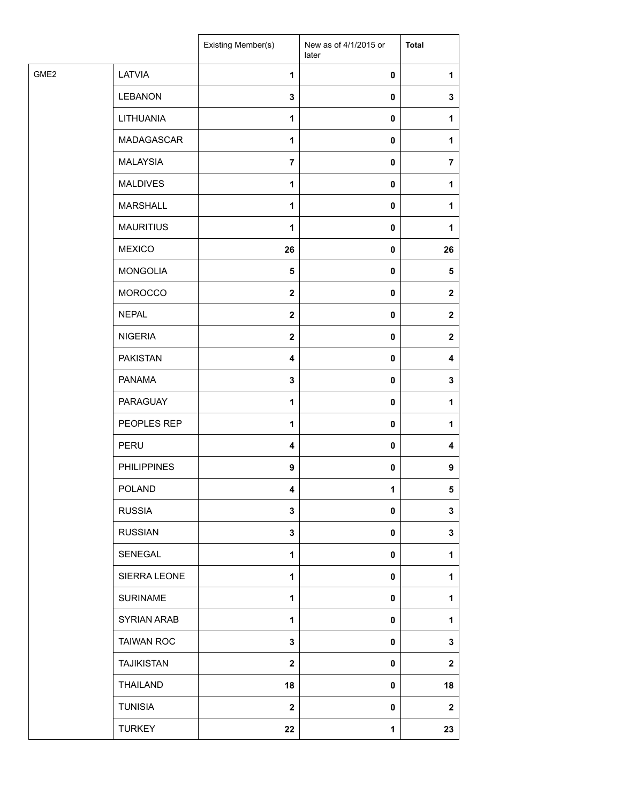|      |                    | Existing Member(s)      | New as of 4/1/2015 or<br>later | <b>Total</b>   |
|------|--------------------|-------------------------|--------------------------------|----------------|
| GME2 | LATVIA             | $\mathbf{1}$            | 0                              | 1              |
|      | <b>LEBANON</b>     | $\mathbf 3$             | $\pmb{0}$                      | $\mathbf 3$    |
|      | LITHUANIA          | 1                       | $\mathbf 0$                    | 1              |
|      | <b>MADAGASCAR</b>  | $\mathbf{1}$            | 0                              | 1              |
|      | <b>MALAYSIA</b>    | $\overline{7}$          | 0                              | $\overline{7}$ |
|      | <b>MALDIVES</b>    | 1                       | 0                              | 1              |
|      | <b>MARSHALL</b>    | 1                       | 0                              | 1              |
|      | <b>MAURITIUS</b>   | 1                       | $\pmb{0}$                      | 1              |
|      | <b>MEXICO</b>      | 26                      | 0                              | 26             |
|      | <b>MONGOLIA</b>    | 5                       | 0                              | $\sqrt{5}$     |
|      | <b>MOROCCO</b>     | $\mathbf{2}$            | 0                              | $\mathbf{2}$   |
|      | <b>NEPAL</b>       | $\mathbf{2}$            | 0                              | $\mathbf{2}$   |
|      | <b>NIGERIA</b>     | $\boldsymbol{2}$        | 0                              | $\mathbf 2$    |
|      | <b>PAKISTAN</b>    | $\overline{\mathbf{4}}$ | 0                              | 4              |
|      | <b>PANAMA</b>      | $\mathbf 3$             | $\mathbf 0$                    | 3              |
|      | PARAGUAY           | $\mathbf{1}$            | 0                              | 1              |
|      | PEOPLES REP        | 1                       | $\mathbf 0$                    | 1              |
|      | PERU               | $\overline{\mathbf{4}}$ | 0                              | 4              |
|      | <b>PHILIPPINES</b> | $\boldsymbol{9}$        | 0                              | 9              |
|      | POLAND             | 4                       | 1                              | 5              |
|      | <b>RUSSIA</b>      | $\mathbf 3$             | 0                              | 3              |
|      | <b>RUSSIAN</b>     | $\mathbf 3$             | 0                              | 3              |
|      | SENEGAL            | $\mathbf{1}$            | 0                              | 1              |
|      | SIERRA LEONE       | 1                       | 0                              | 1              |
|      | <b>SURINAME</b>    | 1                       | $\pmb{0}$                      | 1              |
|      | SYRIAN ARAB        | $\mathbf{1}$            | 0                              | 1              |
|      | <b>TAIWAN ROC</b>  | $\mathbf 3$             | 0                              | 3              |
|      | <b>TAJIKISTAN</b>  | $\mathbf{2}$            | 0                              | $\mathbf{2}$   |
|      | THAILAND           | 18                      | 0                              | 18             |
|      | <b>TUNISIA</b>     | $\mathbf 2$             | $\pmb{0}$                      | $\mathbf 2$    |
|      | <b>TURKEY</b>      | 22                      | $\mathbf{1}$                   | 23             |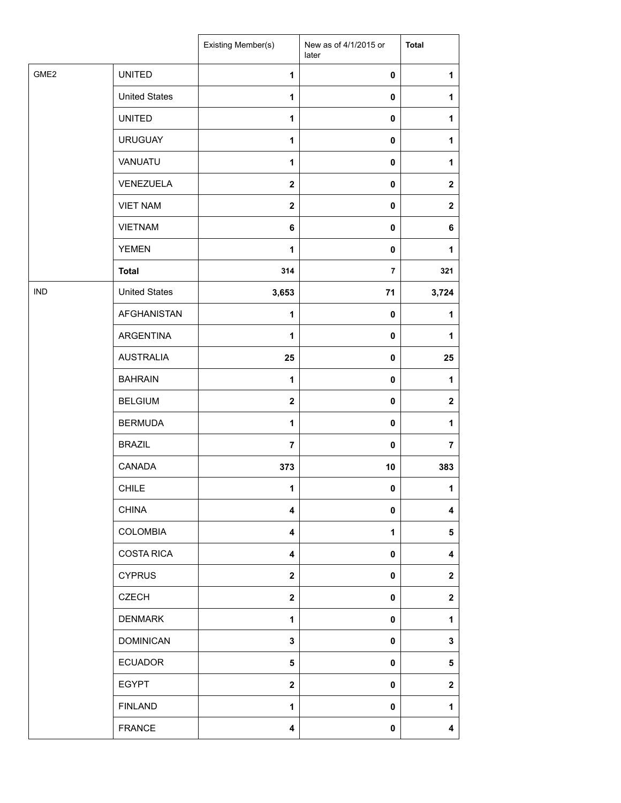|                  |                      | Existing Member(s)      | New as of 4/1/2015 or<br>later | <b>Total</b>            |
|------------------|----------------------|-------------------------|--------------------------------|-------------------------|
| GME <sub>2</sub> | <b>UNITED</b>        | $\mathbf{1}$            | 0                              | 1                       |
|                  | <b>United States</b> | $\mathbf{1}$            | 0                              | 1                       |
|                  | <b>UNITED</b>        | $\mathbf{1}$            | 0                              | 1                       |
|                  | <b>URUGUAY</b>       | 1                       | 0                              | 1                       |
|                  | VANUATU              | $\mathbf{1}$            | $\pmb{0}$                      | 1                       |
|                  | VENEZUELA            | $\mathbf 2$             | 0                              | $\mathbf 2$             |
|                  | <b>VIET NAM</b>      | $\overline{2}$          | 0                              | $\mathbf{2}$            |
|                  | <b>VIETNAM</b>       | 6                       | 0                              | 6                       |
|                  | <b>YEMEN</b>         | 1                       | 0                              | $\mathbf{1}$            |
|                  | <b>Total</b>         | 314                     | $\overline{\phantom{a}}$       | 321                     |
| <b>IND</b>       | <b>United States</b> | 3,653                   | 71                             | 3,724                   |
|                  | <b>AFGHANISTAN</b>   | 1                       | $\pmb{0}$                      | 1                       |
|                  | ARGENTINA            | 1                       | 0                              | 1                       |
|                  | <b>AUSTRALIA</b>     | 25                      | 0                              | 25                      |
|                  | <b>BAHRAIN</b>       | $\mathbf{1}$            | 0                              | 1                       |
|                  | <b>BELGIUM</b>       | $\overline{2}$          | 0                              | $\overline{\mathbf{2}}$ |
|                  | <b>BERMUDA</b>       | $\mathbf{1}$            | 0                              | 1                       |
|                  | <b>BRAZIL</b>        | $\overline{7}$          | 0                              | $\overline{7}$          |
|                  | CANADA               | 373                     | 10                             | 383                     |
|                  | <b>CHILE</b>         | 1                       | 0                              | 1                       |
|                  | <b>CHINA</b>         | $\overline{\mathbf{4}}$ | 0                              | $\overline{\mathbf{4}}$ |
|                  | <b>COLOMBIA</b>      | 4                       | 1                              | 5                       |
|                  | <b>COSTA RICA</b>    | 4                       | 0                              | 4                       |
|                  | <b>CYPRUS</b>        | $\mathbf{2}$            | 0                              | $\boldsymbol{2}$        |
|                  | <b>CZECH</b>         | $\mathbf{2}$            | 0                              | $\boldsymbol{2}$        |
|                  | <b>DENMARK</b>       | $\mathbf{1}$            | 0                              | 1                       |
|                  | <b>DOMINICAN</b>     | 3                       | 0                              | 3                       |
|                  | <b>ECUADOR</b>       | 5                       | 0                              | 5                       |
|                  | <b>EGYPT</b>         | $\mathbf{2}$            | 0                              | $\boldsymbol{2}$        |
|                  | <b>FINLAND</b>       | 1                       | 0                              | 1                       |
|                  | <b>FRANCE</b>        | 4                       | 0                              | 4                       |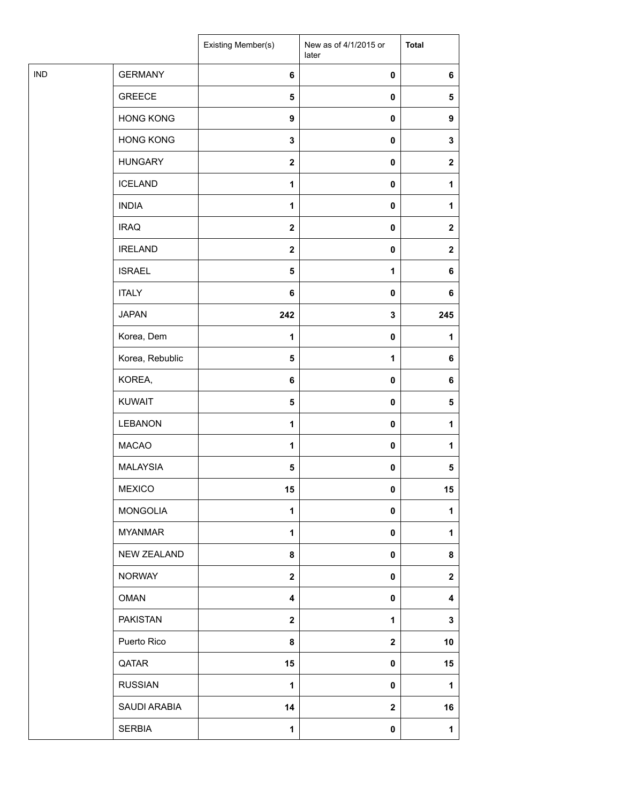|            |                    | <b>Existing Member(s)</b> | New as of 4/1/2015 or<br>later | <b>Total</b>     |
|------------|--------------------|---------------------------|--------------------------------|------------------|
| <b>IND</b> | <b>GERMANY</b>     | 6                         | $\pmb{0}$                      | 6                |
|            | <b>GREECE</b>      | $\sqrt{5}$                | $\pmb{0}$                      | $\sqrt{5}$       |
|            | <b>HONG KONG</b>   | $\boldsymbol{9}$          | $\pmb{0}$                      | 9                |
|            | <b>HONG KONG</b>   | $\mathbf 3$               | $\pmb{0}$                      | 3                |
|            | <b>HUNGARY</b>     | $\boldsymbol{2}$          | $\pmb{0}$                      | $\boldsymbol{2}$ |
|            | <b>ICELAND</b>     | $\mathbf{1}$              | $\pmb{0}$                      | 1                |
|            | <b>INDIA</b>       | $\mathbf{1}$              | $\pmb{0}$                      | 1                |
|            | <b>IRAQ</b>        | $\mathbf 2$               | $\pmb{0}$                      | $\mathbf{2}$     |
|            | <b>IRELAND</b>     | $\mathbf 2$               | $\pmb{0}$                      | $\mathbf{2}$     |
|            | <b>ISRAEL</b>      | $\overline{\mathbf{5}}$   | 1                              | 6                |
|            | <b>ITALY</b>       | 6                         | $\pmb{0}$                      | 6                |
|            | <b>JAPAN</b>       | 242                       | 3                              | 245              |
|            | Korea, Dem         | 1                         | $\pmb{0}$                      | 1                |
|            | Korea, Rebublic    | $\sqrt{5}$                | $\mathbf{1}$                   | 6                |
|            | KOREA,             | $\bf 6$                   | $\pmb{0}$                      | 6                |
|            | <b>KUWAIT</b>      | ${\bf 5}$                 | $\pmb{0}$                      | ${\bf 5}$        |
|            | LEBANON            | $\mathbf{1}$              | $\pmb{0}$                      | 1                |
|            | <b>MACAO</b>       | 1                         | $\pmb{0}$                      | 1                |
|            | <b>MALAYSIA</b>    | ${\bf 5}$                 | $\pmb{0}$                      | 5                |
|            | <b>MEXICO</b>      | 15                        | 0                              | 15               |
|            | <b>MONGOLIA</b>    | 1                         | $\mathbf 0$                    | 1                |
|            | <b>MYANMAR</b>     | 1                         | $\pmb{0}$                      | 1                |
|            | <b>NEW ZEALAND</b> | 8                         | $\pmb{0}$                      | 8                |
|            | <b>NORWAY</b>      | $\boldsymbol{2}$          | $\pmb{0}$                      | $\boldsymbol{2}$ |
|            | <b>OMAN</b>        | 4                         | $\pmb{0}$                      | 4                |
|            | <b>PAKISTAN</b>    | $\mathbf 2$               | 1                              | 3                |
|            | Puerto Rico        | 8                         | $\boldsymbol{2}$               | 10               |
|            | QATAR              | 15                        | $\pmb{0}$                      | 15               |
|            | <b>RUSSIAN</b>     | $\mathbf{1}$              | $\pmb{0}$                      | 1                |
|            | SAUDI ARABIA       | 14                        | $\boldsymbol{2}$               | 16               |
|            | <b>SERBIA</b>      | 1                         | $\pmb{0}$                      | 1                |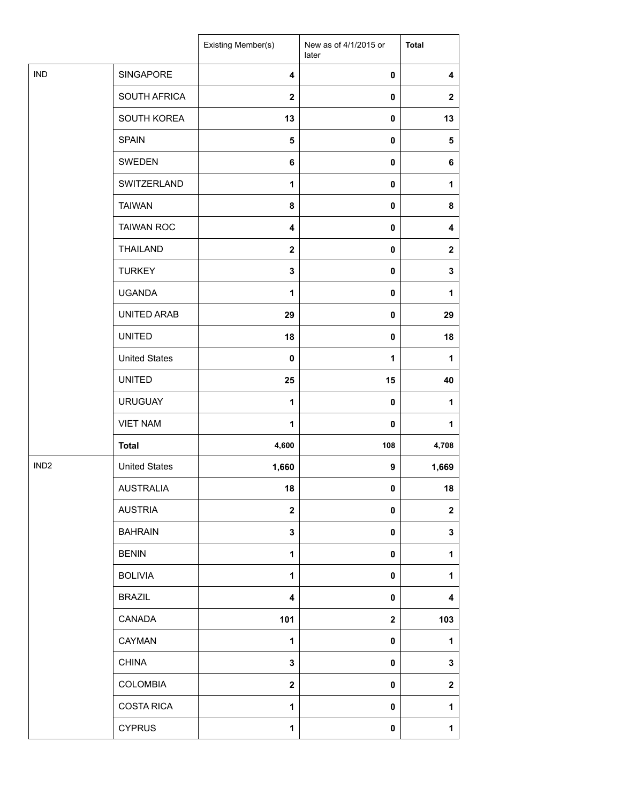|                  |                      | Existing Member(s)      | New as of 4/1/2015 or<br>later | <b>Total</b>            |
|------------------|----------------------|-------------------------|--------------------------------|-------------------------|
| <b>IND</b>       | SINGAPORE            | $\overline{\mathbf{4}}$ | 0                              | $\overline{\mathbf{4}}$ |
|                  | SOUTH AFRICA         | $\overline{2}$          | 0                              | $\boldsymbol{2}$        |
|                  | SOUTH KOREA          | 13                      | 0                              | 13                      |
|                  | <b>SPAIN</b>         | 5                       | 0                              | 5                       |
|                  | SWEDEN               | 6                       | 0                              | 6                       |
|                  | SWITZERLAND          | 1                       | 0                              | 1                       |
|                  | <b>TAIWAN</b>        | 8                       | 0                              | 8                       |
|                  | <b>TAIWAN ROC</b>    | 4                       | 0                              | 4                       |
|                  | <b>THAILAND</b>      | $\mathbf{2}$            | 0                              | $\mathbf 2$             |
|                  | <b>TURKEY</b>        | 3                       | 0                              | $\mathbf 3$             |
|                  | <b>UGANDA</b>        | 1                       | 0                              | 1                       |
|                  | UNITED ARAB          | 29                      | 0                              | 29                      |
|                  | <b>UNITED</b>        | 18                      | 0                              | 18                      |
|                  | <b>United States</b> | $\mathbf 0$             | 1                              | 1                       |
|                  | <b>UNITED</b>        | 25                      | 15                             | 40                      |
|                  | <b>URUGUAY</b>       | 1                       | $\mathbf 0$                    | $\mathbf{1}$            |
|                  | <b>VIET NAM</b>      | $\mathbf{1}$            | 0                              | 1                       |
|                  | <b>Total</b>         | 4,600                   | 108                            | 4,708                   |
| IND <sub>2</sub> | <b>United States</b> | 1,660                   | 9                              | 1,669                   |
|                  | <b>AUSTRALIA</b>     | 18                      | $\mathbf 0$                    | 18                      |
|                  | <b>AUSTRIA</b>       | $\overline{\mathbf{2}}$ | 0                              | $\boldsymbol{2}$        |
|                  | <b>BAHRAIN</b>       | 3                       | 0                              | 3                       |
|                  | <b>BENIN</b>         | $\mathbf{1}$            | 0                              | 1                       |
|                  | <b>BOLIVIA</b>       | 1                       | 0                              | 1                       |
|                  | <b>BRAZIL</b>        | 4                       | 0                              | 4                       |
|                  | CANADA               | 101                     | $\mathbf{2}$                   | 103                     |
|                  | CAYMAN               | $\mathbf{1}$            | 0                              | 1                       |
|                  | <b>CHINA</b>         | 3                       | 0                              | 3                       |
|                  | COLOMBIA             | $\mathbf{2}$            | 0                              | $\mathbf 2$             |
|                  | <b>COSTA RICA</b>    | 1                       | 0                              | 1                       |
|                  | <b>CYPRUS</b>        | 1                       | 0                              | $\mathbf{1}$            |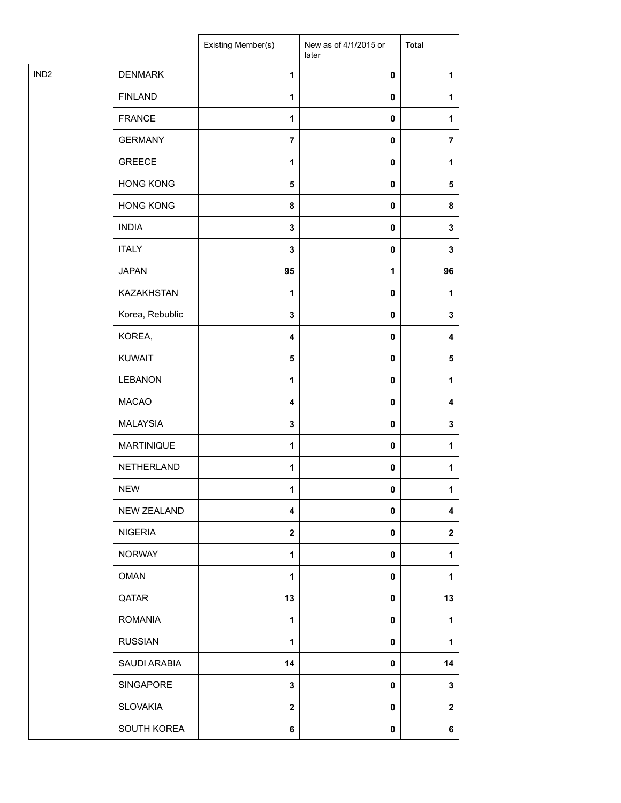| IND <sub>2</sub><br><b>DENMARK</b><br>$\mathbf{1}$<br>$\pmb{0}$<br>1<br><b>FINLAND</b><br>1<br>$\pmb{0}$<br>1<br><b>FRANCE</b><br>1<br>$\pmb{0}$<br>1<br><b>GERMANY</b><br>$\overline{7}$<br>$\pmb{0}$<br>$\overline{\mathbf{r}}$<br><b>GREECE</b><br>1<br>0<br>1<br><b>HONG KONG</b><br>5<br>$\pmb{0}$<br>5<br><b>HONG KONG</b><br>8<br>$\pmb{0}$<br>8<br><b>INDIA</b><br>$\mathbf 3$<br>$\pmb{0}$<br>3<br><b>ITALY</b><br>3<br>$\pmb{0}$<br>3<br><b>JAPAN</b><br>95<br>96<br>1<br><b>KAZAKHSTAN</b><br>1<br>$\pmb{0}$<br>1<br>Korea, Rebublic<br>$\mathbf 3$<br>$\pmb{0}$<br>3<br>KOREA,<br>$\pmb{0}$<br>4<br>4<br><b>KUWAIT</b><br>5<br>$\pmb{0}$<br>5<br><b>LEBANON</b><br>1<br>$\pmb{0}$<br>1<br><b>MACAO</b><br>4<br>$\pmb{0}$<br>4<br><b>MALAYSIA</b><br>$\mathbf 3$<br>$\pmb{0}$<br>3<br><b>MARTINIQUE</b><br>1<br>$\pmb{0}$<br>1<br>NETHERLAND<br>$\mathbf{1}$<br>$\pmb{0}$<br>1<br><b>NEW</b><br>1<br>$\mathbf 0$<br>1<br>NEW ZEALAND<br>$\overline{\mathbf{4}}$<br>$\pmb{0}$<br>4<br><b>NIGERIA</b><br>$\mathbf{2}$<br>$\pmb{0}$<br>$\mathbf{2}$<br><b>NORWAY</b><br>$\mathbf{1}$<br>$\pmb{0}$<br>1<br><b>OMAN</b><br>$\mathbf{1}$<br>$\pmb{0}$<br>1<br>QATAR<br>13<br>13<br>$\pmb{0}$<br><b>ROMANIA</b><br>1<br>0<br>1<br><b>RUSSIAN</b><br>1<br>$\pmb{0}$<br>1<br>SAUDI ARABIA<br>14<br>$\pmb{0}$<br>14<br>SINGAPORE<br>3<br>$\pmb{0}$<br>3<br><b>SLOVAKIA</b><br>$\mathbf 2$<br>$\pmb{0}$<br>$\mathbf 2$<br>SOUTH KOREA<br>6<br>$\pmb{0}$<br>6 |  | Existing Member(s) | New as of 4/1/2015 or<br>later | <b>Total</b> |
|--------------------------------------------------------------------------------------------------------------------------------------------------------------------------------------------------------------------------------------------------------------------------------------------------------------------------------------------------------------------------------------------------------------------------------------------------------------------------------------------------------------------------------------------------------------------------------------------------------------------------------------------------------------------------------------------------------------------------------------------------------------------------------------------------------------------------------------------------------------------------------------------------------------------------------------------------------------------------------------------------------------------------------------------------------------------------------------------------------------------------------------------------------------------------------------------------------------------------------------------------------------------------------------------------------------------------------------------------------------------------------------------------------------------------------------------------------------|--|--------------------|--------------------------------|--------------|
|                                                                                                                                                                                                                                                                                                                                                                                                                                                                                                                                                                                                                                                                                                                                                                                                                                                                                                                                                                                                                                                                                                                                                                                                                                                                                                                                                                                                                                                              |  |                    |                                |              |
|                                                                                                                                                                                                                                                                                                                                                                                                                                                                                                                                                                                                                                                                                                                                                                                                                                                                                                                                                                                                                                                                                                                                                                                                                                                                                                                                                                                                                                                              |  |                    |                                |              |
|                                                                                                                                                                                                                                                                                                                                                                                                                                                                                                                                                                                                                                                                                                                                                                                                                                                                                                                                                                                                                                                                                                                                                                                                                                                                                                                                                                                                                                                              |  |                    |                                |              |
|                                                                                                                                                                                                                                                                                                                                                                                                                                                                                                                                                                                                                                                                                                                                                                                                                                                                                                                                                                                                                                                                                                                                                                                                                                                                                                                                                                                                                                                              |  |                    |                                |              |
|                                                                                                                                                                                                                                                                                                                                                                                                                                                                                                                                                                                                                                                                                                                                                                                                                                                                                                                                                                                                                                                                                                                                                                                                                                                                                                                                                                                                                                                              |  |                    |                                |              |
|                                                                                                                                                                                                                                                                                                                                                                                                                                                                                                                                                                                                                                                                                                                                                                                                                                                                                                                                                                                                                                                                                                                                                                                                                                                                                                                                                                                                                                                              |  |                    |                                |              |
|                                                                                                                                                                                                                                                                                                                                                                                                                                                                                                                                                                                                                                                                                                                                                                                                                                                                                                                                                                                                                                                                                                                                                                                                                                                                                                                                                                                                                                                              |  |                    |                                |              |
|                                                                                                                                                                                                                                                                                                                                                                                                                                                                                                                                                                                                                                                                                                                                                                                                                                                                                                                                                                                                                                                                                                                                                                                                                                                                                                                                                                                                                                                              |  |                    |                                |              |
|                                                                                                                                                                                                                                                                                                                                                                                                                                                                                                                                                                                                                                                                                                                                                                                                                                                                                                                                                                                                                                                                                                                                                                                                                                                                                                                                                                                                                                                              |  |                    |                                |              |
|                                                                                                                                                                                                                                                                                                                                                                                                                                                                                                                                                                                                                                                                                                                                                                                                                                                                                                                                                                                                                                                                                                                                                                                                                                                                                                                                                                                                                                                              |  |                    |                                |              |
|                                                                                                                                                                                                                                                                                                                                                                                                                                                                                                                                                                                                                                                                                                                                                                                                                                                                                                                                                                                                                                                                                                                                                                                                                                                                                                                                                                                                                                                              |  |                    |                                |              |
|                                                                                                                                                                                                                                                                                                                                                                                                                                                                                                                                                                                                                                                                                                                                                                                                                                                                                                                                                                                                                                                                                                                                                                                                                                                                                                                                                                                                                                                              |  |                    |                                |              |
|                                                                                                                                                                                                                                                                                                                                                                                                                                                                                                                                                                                                                                                                                                                                                                                                                                                                                                                                                                                                                                                                                                                                                                                                                                                                                                                                                                                                                                                              |  |                    |                                |              |
|                                                                                                                                                                                                                                                                                                                                                                                                                                                                                                                                                                                                                                                                                                                                                                                                                                                                                                                                                                                                                                                                                                                                                                                                                                                                                                                                                                                                                                                              |  |                    |                                |              |
|                                                                                                                                                                                                                                                                                                                                                                                                                                                                                                                                                                                                                                                                                                                                                                                                                                                                                                                                                                                                                                                                                                                                                                                                                                                                                                                                                                                                                                                              |  |                    |                                |              |
|                                                                                                                                                                                                                                                                                                                                                                                                                                                                                                                                                                                                                                                                                                                                                                                                                                                                                                                                                                                                                                                                                                                                                                                                                                                                                                                                                                                                                                                              |  |                    |                                |              |
|                                                                                                                                                                                                                                                                                                                                                                                                                                                                                                                                                                                                                                                                                                                                                                                                                                                                                                                                                                                                                                                                                                                                                                                                                                                                                                                                                                                                                                                              |  |                    |                                |              |
|                                                                                                                                                                                                                                                                                                                                                                                                                                                                                                                                                                                                                                                                                                                                                                                                                                                                                                                                                                                                                                                                                                                                                                                                                                                                                                                                                                                                                                                              |  |                    |                                |              |
|                                                                                                                                                                                                                                                                                                                                                                                                                                                                                                                                                                                                                                                                                                                                                                                                                                                                                                                                                                                                                                                                                                                                                                                                                                                                                                                                                                                                                                                              |  |                    |                                |              |
|                                                                                                                                                                                                                                                                                                                                                                                                                                                                                                                                                                                                                                                                                                                                                                                                                                                                                                                                                                                                                                                                                                                                                                                                                                                                                                                                                                                                                                                              |  |                    |                                |              |
|                                                                                                                                                                                                                                                                                                                                                                                                                                                                                                                                                                                                                                                                                                                                                                                                                                                                                                                                                                                                                                                                                                                                                                                                                                                                                                                                                                                                                                                              |  |                    |                                |              |
|                                                                                                                                                                                                                                                                                                                                                                                                                                                                                                                                                                                                                                                                                                                                                                                                                                                                                                                                                                                                                                                                                                                                                                                                                                                                                                                                                                                                                                                              |  |                    |                                |              |
|                                                                                                                                                                                                                                                                                                                                                                                                                                                                                                                                                                                                                                                                                                                                                                                                                                                                                                                                                                                                                                                                                                                                                                                                                                                                                                                                                                                                                                                              |  |                    |                                |              |
|                                                                                                                                                                                                                                                                                                                                                                                                                                                                                                                                                                                                                                                                                                                                                                                                                                                                                                                                                                                                                                                                                                                                                                                                                                                                                                                                                                                                                                                              |  |                    |                                |              |
|                                                                                                                                                                                                                                                                                                                                                                                                                                                                                                                                                                                                                                                                                                                                                                                                                                                                                                                                                                                                                                                                                                                                                                                                                                                                                                                                                                                                                                                              |  |                    |                                |              |
|                                                                                                                                                                                                                                                                                                                                                                                                                                                                                                                                                                                                                                                                                                                                                                                                                                                                                                                                                                                                                                                                                                                                                                                                                                                                                                                                                                                                                                                              |  |                    |                                |              |
|                                                                                                                                                                                                                                                                                                                                                                                                                                                                                                                                                                                                                                                                                                                                                                                                                                                                                                                                                                                                                                                                                                                                                                                                                                                                                                                                                                                                                                                              |  |                    |                                |              |
|                                                                                                                                                                                                                                                                                                                                                                                                                                                                                                                                                                                                                                                                                                                                                                                                                                                                                                                                                                                                                                                                                                                                                                                                                                                                                                                                                                                                                                                              |  |                    |                                |              |
|                                                                                                                                                                                                                                                                                                                                                                                                                                                                                                                                                                                                                                                                                                                                                                                                                                                                                                                                                                                                                                                                                                                                                                                                                                                                                                                                                                                                                                                              |  |                    |                                |              |
|                                                                                                                                                                                                                                                                                                                                                                                                                                                                                                                                                                                                                                                                                                                                                                                                                                                                                                                                                                                                                                                                                                                                                                                                                                                                                                                                                                                                                                                              |  |                    |                                |              |
|                                                                                                                                                                                                                                                                                                                                                                                                                                                                                                                                                                                                                                                                                                                                                                                                                                                                                                                                                                                                                                                                                                                                                                                                                                                                                                                                                                                                                                                              |  |                    |                                |              |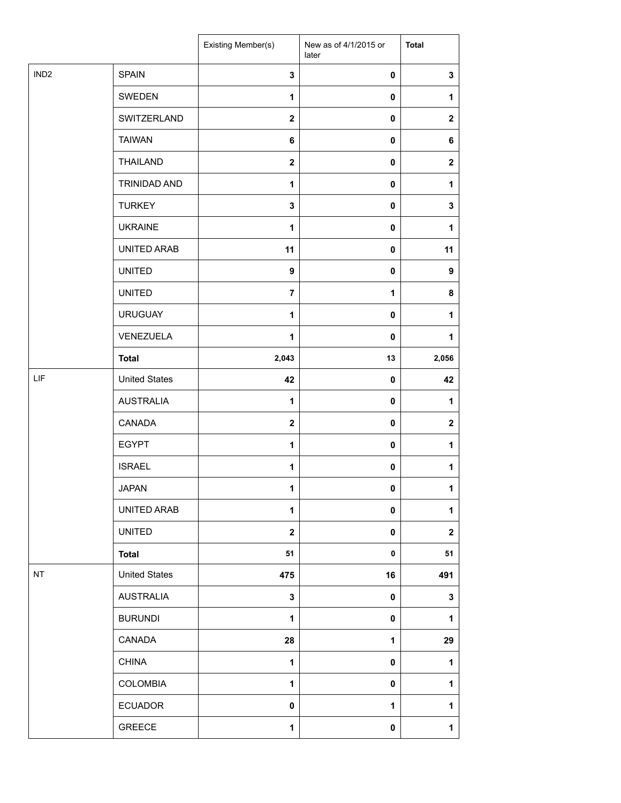|                  |                      | Existing Member(s)      | New as of 4/1/2015 or<br>later | <b>Total</b>     |
|------------------|----------------------|-------------------------|--------------------------------|------------------|
| IND <sub>2</sub> | <b>SPAIN</b>         | 3                       | $\pmb{0}$                      | $\mathbf 3$      |
|                  | SWEDEN               | $\mathbf{1}$            | 0                              | 1                |
|                  | SWITZERLAND          | $\mathbf{2}$            | 0                              | $\boldsymbol{2}$ |
|                  | <b>TAIWAN</b>        | 6                       | 0                              | 6                |
|                  | THAILAND             | $\mathbf{2}$            | 0                              | $\mathbf{2}$     |
|                  | TRINIDAD AND         | $\mathbf{1}$            | 0                              | 1                |
|                  | <b>TURKEY</b>        | $\mathbf 3$             | $\pmb{0}$                      | $\mathbf 3$      |
|                  | <b>UKRAINE</b>       | $\mathbf{1}$            | 0                              | 1                |
|                  | UNITED ARAB          | 11                      | 0                              | 11               |
|                  | <b>UNITED</b>        | 9                       | 0                              | 9                |
|                  | <b>UNITED</b>        | $\overline{7}$          | 1                              | 8                |
|                  | <b>URUGUAY</b>       | $\mathbf{1}$            | $\pmb{0}$                      | $\mathbf 1$      |
|                  | VENEZUELA            | 1                       | $\mathbf 0$                    | 1                |
|                  | <b>Total</b>         | 2,043                   | 13                             | 2,056            |
| LIF              | <b>United States</b> | 42                      | 0                              | 42               |
|                  | <b>AUSTRALIA</b>     | $\mathbf{1}$            | 0                              | 1                |
|                  | CANADA               | $\overline{\mathbf{2}}$ | 0                              | $\boldsymbol{2}$ |
|                  | <b>EGYPT</b>         | 1                       | $\mathbf 0$                    | 1                |
|                  | <b>ISRAEL</b>        | 1                       | 0                              | $\mathbf{1}$     |
|                  | <b>JAPAN</b>         | 1                       | 0                              | $\mathbf{1}$     |
|                  | UNITED ARAB          | 1                       | 0                              | $\mathbf{1}$     |
|                  | <b>UNITED</b>        | $\overline{\mathbf{2}}$ | 0                              | $\mathbf{2}$     |
|                  | <b>Total</b>         | 51                      | $\pmb{0}$                      | 51               |
| NT               | <b>United States</b> | 475                     | 16                             | 491              |
|                  | <b>AUSTRALIA</b>     | 3                       | $\pmb{0}$                      | 3                |
|                  | <b>BURUNDI</b>       | $\mathbf{1}$            | 0                              | $\mathbf{1}$     |
|                  | CANADA               | 28                      | $\mathbf{1}$                   | 29               |
|                  | <b>CHINA</b>         | $\mathbf{1}$            | 0                              | $\mathbf{1}$     |
|                  | <b>COLOMBIA</b>      | $\mathbf{1}$            | 0                              | $\mathbf{1}$     |
|                  | <b>ECUADOR</b>       | 0                       | 1                              | $\mathbf{1}$     |
|                  | GREECE               | $\mathbf{1}$            | $\pmb{0}$                      | $\mathbf 1$      |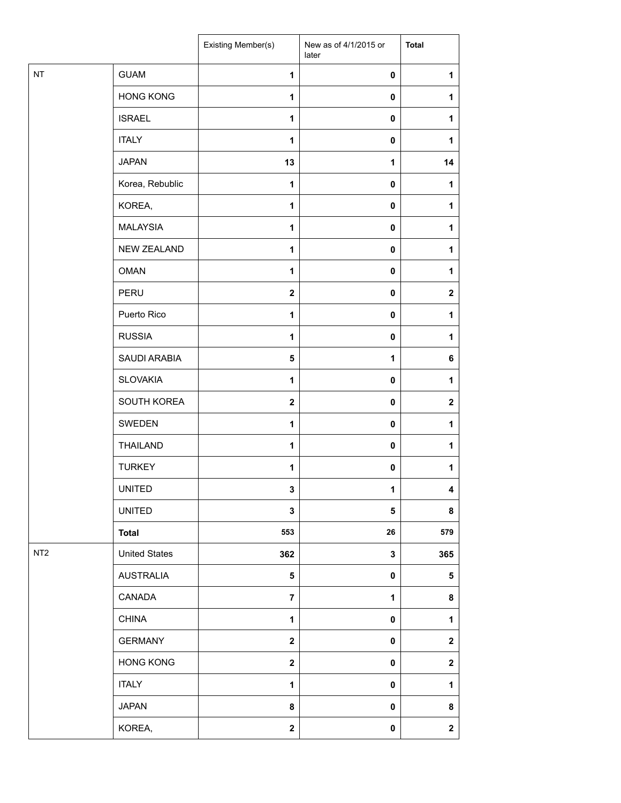|                 |                      | Existing Member(s) | New as of 4/1/2015 or<br>later | <b>Total</b>     |
|-----------------|----------------------|--------------------|--------------------------------|------------------|
| <b>NT</b>       | <b>GUAM</b>          | $\mathbf{1}$       | $\pmb{0}$                      | 1                |
|                 | <b>HONG KONG</b>     | 1                  | $\mathbf 0$                    | 1                |
|                 | <b>ISRAEL</b>        | 1                  | 0                              | 1                |
|                 | <b>ITALY</b>         | 1                  | $\mathbf 0$                    | 1                |
|                 | <b>JAPAN</b>         | 13                 | 1                              | 14               |
|                 | Korea, Rebublic      | 1                  | $\mathbf 0$                    | 1                |
|                 | KOREA,               | $\mathbf{1}$       | $\pmb{0}$                      | 1                |
|                 | <b>MALAYSIA</b>      | 1                  | $\pmb{0}$                      | 1                |
|                 | <b>NEW ZEALAND</b>   | 1                  | $\mathbf 0$                    | 1                |
|                 | <b>OMAN</b>          | 1                  | $\pmb{0}$                      | 1                |
|                 | PERU                 | $\mathbf{2}$       | $\mathbf 0$                    | $\boldsymbol{2}$ |
|                 | Puerto Rico          | 1                  | $\pmb{0}$                      | 1                |
|                 | <b>RUSSIA</b>        | $\mathbf{1}$       | $\mathbf 0$                    | 1                |
|                 | SAUDI ARABIA         | 5                  | 1                              | 6                |
|                 | <b>SLOVAKIA</b>      | 1                  | 0                              | 1                |
|                 | SOUTH KOREA          | $\mathbf{2}$       | $\pmb{0}$                      | $\mathbf{2}$     |
|                 | SWEDEN               | 1                  | $\pmb{0}$                      | 1                |
|                 | <b>THAILAND</b>      | 1                  | $\mathbf 0$                    | 1                |
|                 | <b>TURKEY</b>        | 1                  | 0                              | 1                |
|                 | <b>UNITED</b>        | 3                  | 1                              | 4                |
|                 | <b>UNITED</b>        | 3                  | 5                              | 8                |
|                 | <b>Total</b>         | 553                | ${\bf 26}$                     | 579              |
| NT <sub>2</sub> | <b>United States</b> | 362                | $\mathbf{3}$                   | 365              |
|                 | <b>AUSTRALIA</b>     | $5\phantom{.0}$    | $\pmb{0}$                      | ${\bf 5}$        |
|                 | CANADA               | $\overline{7}$     | 1                              | 8                |
|                 | <b>CHINA</b>         | $\mathbf{1}$       | $\mathbf 0$                    | 1                |
|                 | <b>GERMANY</b>       | $\mathbf{2}$       | $\pmb{0}$                      | $\mathbf 2$      |
|                 | <b>HONG KONG</b>     | $\mathbf 2$        | $\pmb{0}$                      | $\boldsymbol{2}$ |
|                 | <b>ITALY</b>         | $\mathbf{1}$       | $\pmb{0}$                      | $\mathbf{1}$     |
|                 | <b>JAPAN</b>         | 8                  | $\pmb{0}$                      | 8                |
|                 | KOREA,               | $\mathbf{2}$       | $\pmb{0}$                      | $\mathbf{2}$     |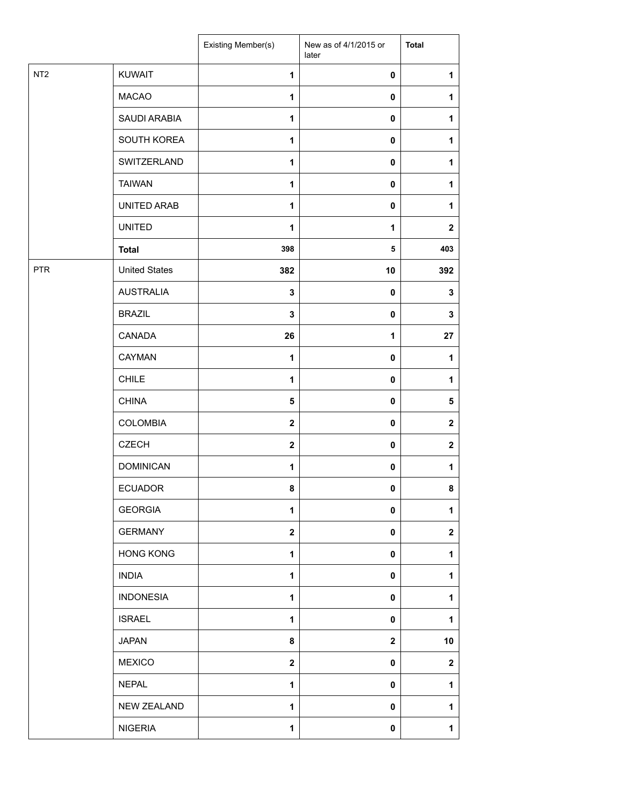|                 |                      | Existing Member(s) | New as of 4/1/2015 or<br>later | <b>Total</b> |
|-----------------|----------------------|--------------------|--------------------------------|--------------|
| NT <sub>2</sub> | <b>KUWAIT</b>        | $\mathbf{1}$       | $\pmb{0}$                      | 1            |
|                 | <b>MACAO</b>         | $\mathbf{1}$       | 0                              | 1            |
|                 | SAUDI ARABIA         | 1                  | 0                              | 1            |
|                 | SOUTH KOREA          | $\mathbf{1}$       | 0                              | 1            |
|                 | SWITZERLAND          | 1                  | 0                              | 1            |
|                 | <b>TAIWAN</b>        | $\mathbf{1}$       | 0                              | 1            |
|                 | UNITED ARAB          | $\mathbf{1}$       | 0                              | 1            |
|                 | <b>UNITED</b>        | 1                  | 1                              | $\mathbf 2$  |
|                 | <b>Total</b>         | 398                | 5                              | 403          |
| <b>PTR</b>      | <b>United States</b> | 382                | 10                             | 392          |
|                 | <b>AUSTRALIA</b>     | $\mathbf 3$        | $\pmb{0}$                      | 3            |
|                 | <b>BRAZIL</b>        | $\mathbf 3$        | $\pmb{0}$                      | 3            |
|                 | CANADA               | 26                 | 1                              | 27           |
|                 | CAYMAN               | $\mathbf{1}$       | 0                              | 1            |
|                 | <b>CHILE</b>         | $\mathbf{1}$       | 0                              | 1            |
|                 | <b>CHINA</b>         | 5                  | 0                              | 5            |
|                 | <b>COLOMBIA</b>      | $\mathbf 2$        | 0                              | $\mathbf 2$  |
|                 | <b>CZECH</b>         | $\mathbf 2$        | 0                              | $\mathbf 2$  |
|                 | <b>DOMINICAN</b>     | 1                  | 0                              | 1            |
|                 | <b>ECUADOR</b>       | 8                  | 0                              | 8            |
|                 | <b>GEORGIA</b>       | $\mathbf{1}$       | 0                              | 1            |
|                 | <b>GERMANY</b>       | $\mathbf 2$        | 0                              | $\mathbf 2$  |
|                 | <b>HONG KONG</b>     | $\mathbf{1}$       | 0                              | 1            |
|                 | <b>INDIA</b>         | 1                  | 0                              | 1            |
|                 | <b>INDONESIA</b>     | 1                  | 0                              | 1            |
|                 | <b>ISRAEL</b>        | 1                  | 0                              | 1            |
|                 | <b>JAPAN</b>         | 8                  | $\mathbf 2$                    | 10           |
|                 | <b>MEXICO</b>        | $\mathbf{2}$       | 0                              | $\mathbf 2$  |
|                 | <b>NEPAL</b>         | 1                  | 0                              | 1            |
|                 | <b>NEW ZEALAND</b>   | 1                  | $\mathbf 0$                    | 1            |
|                 | <b>NIGERIA</b>       | 1                  | 0                              | 1            |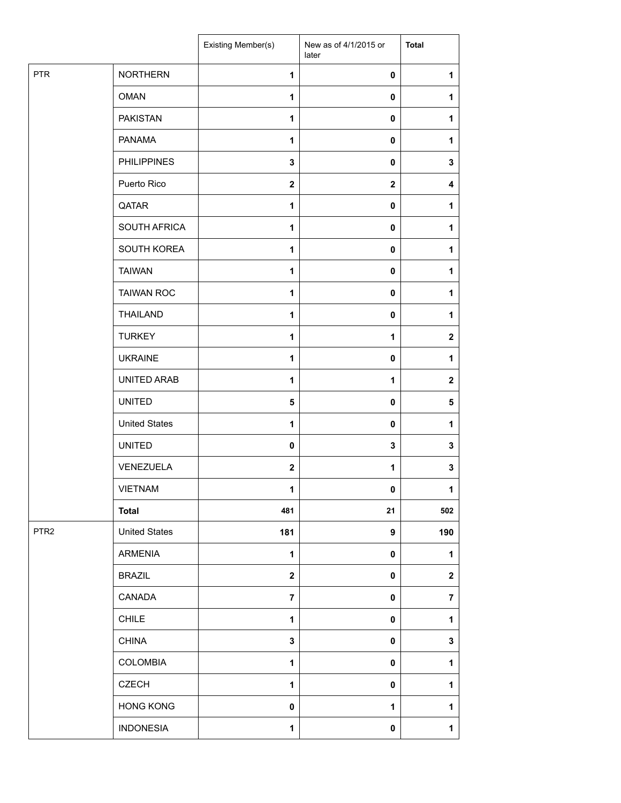|                  |                      | Existing Member(s) | New as of 4/1/2015 or<br>later | <b>Total</b>            |
|------------------|----------------------|--------------------|--------------------------------|-------------------------|
| PTR              | <b>NORTHERN</b>      | $\mathbf{1}$       | $\pmb{0}$                      | 1                       |
|                  | <b>OMAN</b>          | 1                  | $\mathbf 0$                    | 1                       |
|                  | <b>PAKISTAN</b>      | 1                  | 0                              | 1                       |
|                  | <b>PANAMA</b>        | 1                  | 0                              | 1                       |
|                  | <b>PHILIPPINES</b>   | 3                  | 0                              | 3                       |
|                  | Puerto Rico          | $\mathbf{2}$       | $\mathbf 2$                    | 4                       |
|                  | QATAR                | $\mathbf{1}$       | $\pmb{0}$                      | $\mathbf{1}$            |
|                  | SOUTH AFRICA         | 1                  | 0                              | 1                       |
|                  | SOUTH KOREA          | 1                  | 0                              | 1                       |
|                  | <b>TAIWAN</b>        | 1                  | 0                              | 1                       |
|                  | <b>TAIWAN ROC</b>    | 1                  | 0                              | 1                       |
|                  | <b>THAILAND</b>      | $\mathbf{1}$       | $\pmb{0}$                      | $\mathbf{1}$            |
|                  | <b>TURKEY</b>        | 1                  | 1                              | $\mathbf 2$             |
|                  | <b>UKRAINE</b>       | 1                  | 0                              | 1                       |
|                  | UNITED ARAB          | 1                  | 1                              | $\boldsymbol{2}$        |
|                  | <b>UNITED</b>        | 5                  | 0                              | 5                       |
|                  | <b>United States</b> | 1                  | 0                              | 1                       |
|                  | <b>UNITED</b>        | $\mathbf 0$        | 3                              | $\mathbf 3$             |
|                  | VENEZUELA            | $\mathbf{2}$       | 1                              | $\mathbf 3$             |
|                  | VIETNAM              | 1                  | 0                              | $\mathbf{1}$            |
|                  | <b>Total</b>         | 481                | 21                             | 502                     |
| PTR <sub>2</sub> | <b>United States</b> | 181                | 9                              | 190                     |
|                  | <b>ARMENIA</b>       | 1                  | 0                              | 1                       |
|                  | <b>BRAZIL</b>        | $\mathbf 2$        | 0                              | $\mathbf 2$             |
|                  | CANADA               | $\overline{7}$     | 0                              | $\overline{\mathbf{7}}$ |
|                  | <b>CHILE</b>         | $\mathbf{1}$       | 0                              | $\mathbf{1}$            |
|                  | <b>CHINA</b>         | 3                  | 0                              | $\mathbf 3$             |
|                  | <b>COLOMBIA</b>      | 1                  | 0                              | $\mathbf{1}$            |
|                  | <b>CZECH</b>         | 1                  | 0                              | $\mathbf{1}$            |
|                  | <b>HONG KONG</b>     | $\pmb{0}$          | 1                              | 1                       |
|                  | <b>INDONESIA</b>     | $\mathbf{1}$       | $\pmb{0}$                      | $\mathbf 1$             |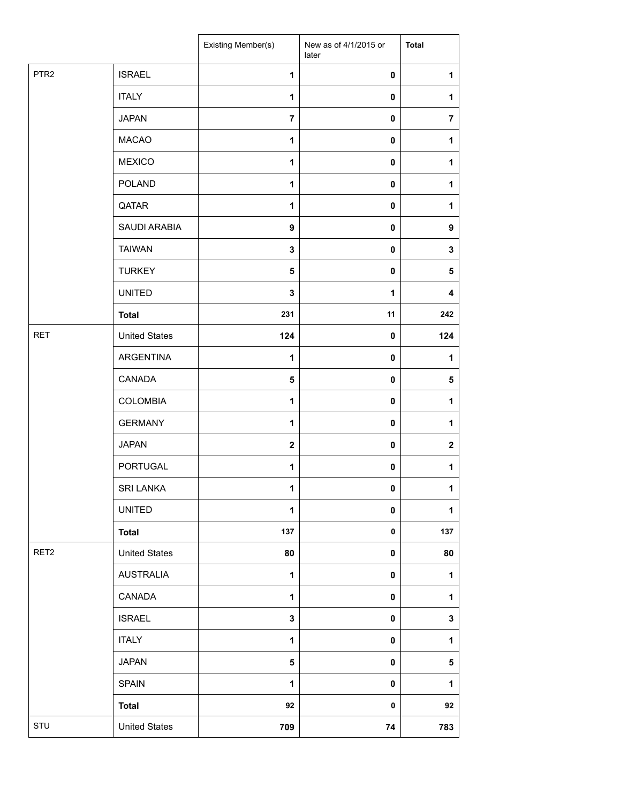|                  |                      | Existing Member(s) | New as of 4/1/2015 or<br>later | <b>Total</b>     |
|------------------|----------------------|--------------------|--------------------------------|------------------|
| PTR <sub>2</sub> | <b>ISRAEL</b>        | $\mathbf{1}$       | $\pmb{0}$                      | 1                |
|                  | <b>ITALY</b>         | $\mathbf{1}$       | 0                              | 1                |
|                  | <b>JAPAN</b>         | $\overline{7}$     | 0                              | $\overline{7}$   |
|                  | <b>MACAO</b>         | 1                  | 0                              | 1                |
|                  | <b>MEXICO</b>        | 1                  | 0                              | $\mathbf{1}$     |
|                  | <b>POLAND</b>        | $\mathbf{1}$       | 0                              | 1                |
|                  | QATAR                | $\mathbf{1}$       | $\pmb{0}$                      | $\mathbf{1}$     |
|                  | SAUDI ARABIA         | $\boldsymbol{9}$   | 0                              | $\boldsymbol{9}$ |
|                  | <b>TAIWAN</b>        | 3                  | 0                              | 3                |
|                  | <b>TURKEY</b>        | $\sqrt{5}$         | 0                              | 5                |
|                  | <b>UNITED</b>        | $\mathbf 3$        | 1                              | 4                |
|                  | <b>Total</b>         | 231                | 11                             | 242              |
| <b>RET</b>       | <b>United States</b> | 124                | 0                              | 124              |
|                  | ARGENTINA            | 1                  | 0                              | 1                |
|                  | <b>CANADA</b>        | 5                  | 0                              | ${\bf 5}$        |
|                  | <b>COLOMBIA</b>      | $\mathbf{1}$       | 0                              | $\mathbf{1}$     |
|                  | <b>GERMANY</b>       | 1                  | 0                              | $\mathbf{1}$     |
|                  | <b>JAPAN</b>         | $\mathbf{2}$       | 0                              | $\mathbf 2$      |
|                  | <b>PORTUGAL</b>      | 1                  | 0                              | $\mathbf{1}$     |
|                  | SRI LANKA            | 1                  | 0                              | $\mathbf{1}$     |
|                  | <b>UNITED</b>        | 1                  | 0                              | $\mathbf{1}$     |
|                  | <b>Total</b>         | 137                | $\pmb{0}$                      | 137              |
| RET2             | <b>United States</b> | 80                 | 0                              | 80               |
|                  | <b>AUSTRALIA</b>     | $\mathbf 1$        | $\pmb{0}$                      | $\mathbf{1}$     |
|                  | CANADA               | 1                  | $\pmb{0}$                      | 1                |
|                  | <b>ISRAEL</b>        | $\mathbf 3$        | 0                              | $\mathbf 3$      |
|                  | <b>ITALY</b>         | $\mathbf 1$        | 0                              | $\mathbf{1}$     |
|                  | <b>JAPAN</b>         | $\sqrt{5}$         | 0                              | ${\bf 5}$        |
|                  | <b>SPAIN</b>         | $\mathbf{1}$       | $\pmb{0}$                      | $\mathbf{1}$     |
|                  | <b>Total</b>         | 92                 | 0                              | 92               |
| STU              | <b>United States</b> | 709                | 74                             | 783              |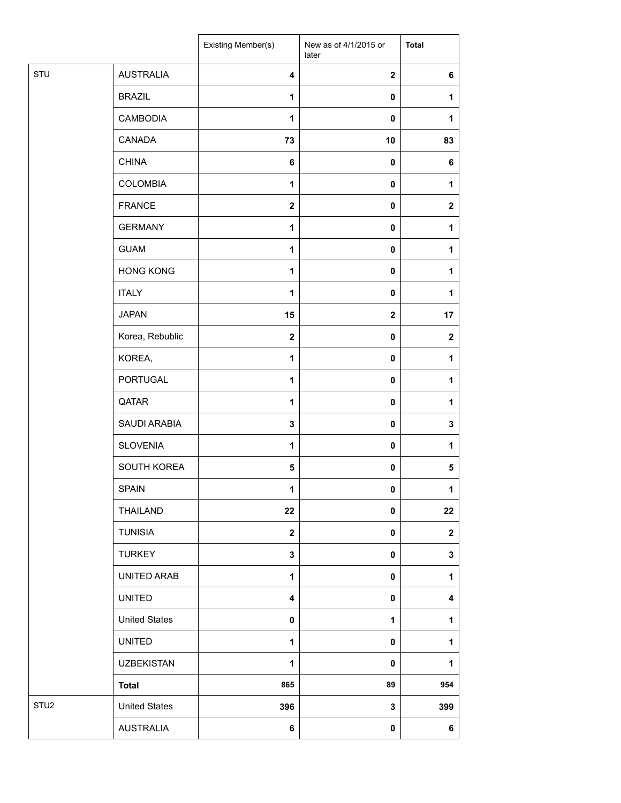|                  |                      | Existing Member(s)      | New as of 4/1/2015 or<br>later | <b>Total</b>            |
|------------------|----------------------|-------------------------|--------------------------------|-------------------------|
| STU              | <b>AUSTRALIA</b>     | 4                       | $\mathbf{2}$                   | 6                       |
|                  | <b>BRAZIL</b>        | 1                       | $\mathbf 0$                    | 1                       |
|                  | <b>CAMBODIA</b>      | $\mathbf{1}$            | 0                              | 1                       |
|                  | CANADA               | 73                      | 10                             | 83                      |
|                  | <b>CHINA</b>         | 6                       | $\mathbf 0$                    | 6                       |
|                  | <b>COLOMBIA</b>      | $\mathbf{1}$            | $\mathbf 0$                    | 1                       |
|                  | <b>FRANCE</b>        | $\mathbf{2}$            | 0                              | $\mathbf{2}$            |
|                  | <b>GERMANY</b>       | 1                       | $\mathbf 0$                    | $\mathbf{1}$            |
|                  | <b>GUAM</b>          | 1                       | 0                              | $\mathbf{1}$            |
|                  | <b>HONG KONG</b>     | $\mathbf{1}$            | 0                              | $\mathbf{1}$            |
|                  | <b>ITALY</b>         | $\mathbf{1}$            | $\mathbf 0$                    | 1                       |
|                  | <b>JAPAN</b>         | 15                      | $\mathbf{2}$                   | 17                      |
|                  | Korea, Rebublic      | $\overline{\mathbf{2}}$ | 0                              | $\mathbf 2$             |
|                  | KOREA,               | 1                       | $\mathbf 0$                    | 1                       |
|                  | PORTUGAL             | 1                       | 0                              | $\mathbf{1}$            |
|                  | QATAR                | 1                       | 0                              | 1                       |
|                  | SAUDI ARABIA         | $\mathbf{3}$            | 0                              | $\mathbf{3}$            |
|                  | <b>SLOVENIA</b>      | 1                       | 0                              | 1                       |
|                  | SOUTH KOREA          | 5                       | 0                              | $5\phantom{.0}$         |
|                  | SPAIN                | 1                       | $\pmb{0}$                      | $\mathbf 1$             |
|                  | THAILAND             | 22                      | 0                              | 22                      |
|                  | <b>TUNISIA</b>       | $\mathbf 2$             | 0                              | $\mathbf{2}$            |
|                  | <b>TURKEY</b>        | $\mathbf{3}$            | 0                              | $\mathbf{3}$            |
|                  | UNITED ARAB          | $\mathbf{1}$            | 0                              | $\mathbf{1}$            |
|                  | <b>UNITED</b>        | $\overline{\mathbf{4}}$ | 0                              | $\overline{\mathbf{4}}$ |
|                  | <b>United States</b> | 0                       | 1                              | $\mathbf{1}$            |
|                  | <b>UNITED</b>        | 1                       | 0                              | $\mathbf{1}$            |
|                  | <b>UZBEKISTAN</b>    | 1                       | $\pmb{0}$                      | 1                       |
|                  | <b>Total</b>         | 865                     | 89                             | 954                     |
| STU <sub>2</sub> | <b>United States</b> | 396                     | $\mathbf{3}$                   | 399                     |
|                  | <b>AUSTRALIA</b>     | 6                       | 0                              | 6                       |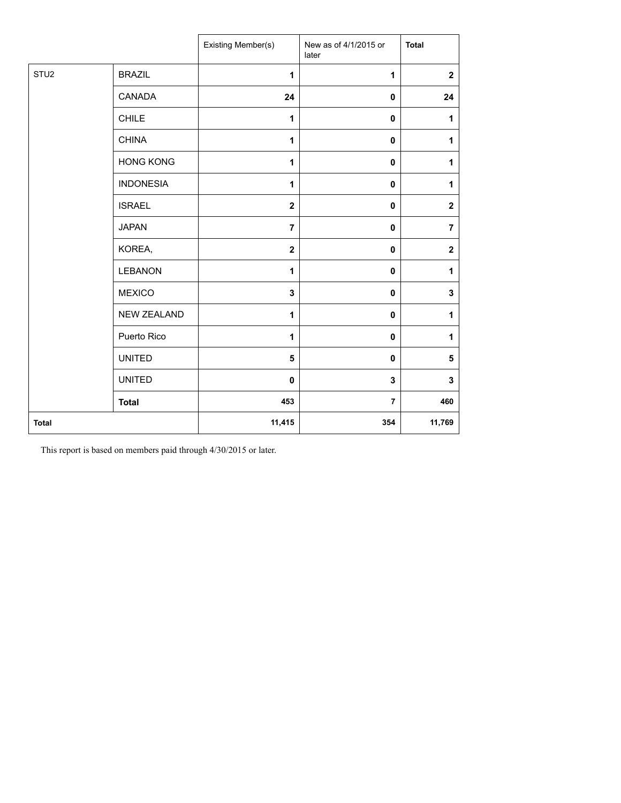|                  |                    | Existing Member(s) | New as of 4/1/2015 or<br>later | <b>Total</b>            |
|------------------|--------------------|--------------------|--------------------------------|-------------------------|
| STU <sub>2</sub> | <b>BRAZIL</b>      | 1                  | 1                              | $\overline{\mathbf{2}}$ |
|                  | CANADA             | 24                 | $\mathbf 0$                    | 24                      |
|                  | <b>CHILE</b>       | 1                  | $\pmb{0}$                      | $\mathbf{1}$            |
|                  | <b>CHINA</b>       | $\mathbf{1}$       | $\pmb{0}$                      | $\mathbf{1}$            |
|                  | <b>HONG KONG</b>   | 1                  | $\pmb{0}$                      | 1                       |
|                  | <b>INDONESIA</b>   | $\mathbf{1}$       | $\pmb{0}$                      | $\mathbf{1}$            |
|                  | <b>ISRAEL</b>      | $\mathbf 2$        | $\pmb{0}$                      | $\boldsymbol{2}$        |
|                  | <b>JAPAN</b>       | $\overline{7}$     | $\pmb{0}$                      | $\overline{7}$          |
|                  | KOREA,             | $\mathbf 2$        | $\pmb{0}$                      | $\boldsymbol{2}$        |
|                  | <b>LEBANON</b>     | 1                  | 0                              | $\mathbf{1}$            |
|                  | <b>MEXICO</b>      | 3                  | 0                              | $\mathbf 3$             |
|                  | <b>NEW ZEALAND</b> | 1                  | $\mathbf 0$                    | 1                       |
|                  | Puerto Rico        | 1                  | 0                              | 1                       |
|                  | <b>UNITED</b>      | 5                  | $\mathbf 0$                    | 5                       |
|                  | <b>UNITED</b>      | 0                  | 3                              | $\mathbf 3$             |
|                  | <b>Total</b>       | 453                | $\overline{7}$                 | 460                     |
| <b>Total</b>     |                    | 11,415             | 354                            | 11,769                  |

This report is based on members paid through 4/30/2015 or later.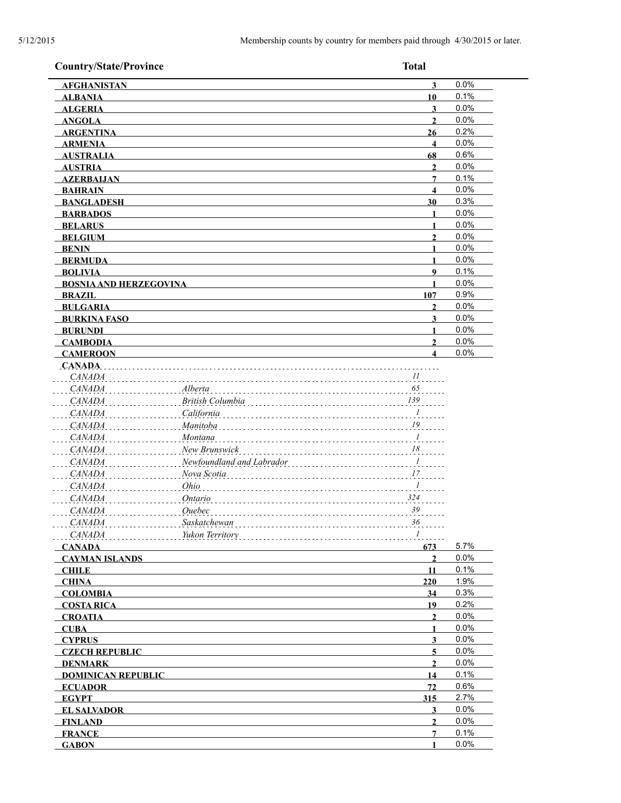| <b>Country/State/Province</b>  | <b>Total</b>                                            |                         |              |
|--------------------------------|---------------------------------------------------------|-------------------------|--------------|
| <b>AFGHANISTAN</b>             |                                                         | $\overline{\mathbf{3}}$ | 0.0%         |
| <b>ALBANIA</b>                 |                                                         | 10                      | 0.1%         |
| <b>ALGERIA</b>                 |                                                         | 3                       | 0.0%         |
| <b>ANGOLA</b>                  |                                                         | $\overline{2}$          | 0.0%         |
| <b>ARGENTINA</b>               |                                                         | 26                      | 0.2%         |
| <b>ARMENIA</b>                 |                                                         | $\overline{\mathbf{4}}$ | 0.0%         |
| <b>AUSTRALIA</b>               |                                                         | 68                      | 0.6%         |
| <b>AUSTRIA</b>                 |                                                         | $\mathbf{2}$            | 0.0%         |
| <b>AZERBAIJAN</b>              |                                                         | 7                       | 0.1%         |
| <b>BAHRAIN</b>                 |                                                         | $\overline{\mathbf{4}}$ | 0.0%         |
| <b>BANGLADESH</b>              |                                                         | 30                      | 0.3%         |
| <b>BARBADOS</b>                |                                                         | 1                       | 0.0%         |
| <b>BELARUS</b>                 |                                                         | $\mathbf{1}$            | 0.0%         |
| <b>BELGIUM</b>                 |                                                         | $\overline{2}$          | 0.0%         |
| <b>BENIN</b>                   |                                                         | 1                       | 0.0%         |
| <b>BERMUDA</b>                 |                                                         | $\mathbf{1}$            | 0.0%         |
| <b>BOLIVIA</b>                 |                                                         | $\boldsymbol{9}$        | 0.1%         |
| <b>BOSNIA AND HERZEGOVINA</b>  |                                                         | 1                       | 0.0%         |
| <b>BRAZIL</b>                  |                                                         | 107                     | 0.9%         |
| <b>BULGARIA</b>                |                                                         | $\mathbf{2}$            | 0.0%         |
| <b>BURKINA FASO</b>            |                                                         | 3                       | 0.0%         |
| <b>BURUNDI</b>                 |                                                         | 1<br>$\overline{2}$     | 0.0%<br>0.0% |
| <b>CAMBODIA</b>                |                                                         | $\overline{\mathbf{4}}$ | 0.0%         |
| <b>CAMEROON</b><br>CANADA.     |                                                         |                         |              |
| <b>CANADA</b>                  | II                                                      |                         |              |
| <b>CANADA</b>                  | 65<br>Alberta                                           |                         |              |
| <b>CANADA</b>                  | 139<br>British Columbia                                 |                         |              |
| <b>CANADA</b>                  | California<br>$\frac{1}{2}$                             |                         |              |
| <b>CANADA</b>                  | Manitoba<br>19                                          |                         |              |
| <b>CANADA</b>                  | $\frac{1}{\sqrt{2}}$<br>Montana                         |                         |              |
| <b>CANADA</b>                  | $18\,$<br>New Brunswick                                 |                         |              |
| <b>CANADA</b>                  | $\ldots$ $\frac{1}{\cdot}$<br>Newfoundland and Labrador |                         |              |
| <b>CANADA</b>                  | Nova Scotia<br>$\frac{17}{15}$                          |                         |              |
| <b>CANADA</b>                  | Ohio<br>$\overline{I}$                                  |                         |              |
| <b>CANADA</b>                  | 324<br>Ontario                                          |                         |              |
| <b>CANADA</b>                  | 39<br>Quebec                                            |                         |              |
| <b>CANADA</b>                  | Saskatchewan<br>36                                      |                         |              |
| <b>CANADA</b>                  | $\mathcal{I}$<br>Yukon Territory                        |                         |              |
| <b>CANADA</b>                  |                                                         | 673                     | 5.7%         |
| <b>CAYMAN ISLANDS</b>          |                                                         | $\overline{2}$          | 0.0%         |
| <b>CHILE</b>                   |                                                         | 11                      | 0.1%         |
| <b>CHINA</b>                   |                                                         | 220                     | 1.9%         |
| <b>COLOMBIA</b>                |                                                         | 34                      | 0.3%         |
| <b>COSTA RICA</b>              |                                                         | 19                      | 0.2%         |
| <b>CROATIA</b>                 |                                                         | $\mathbf{2}$            | 0.0%         |
| <b>CUBA</b>                    |                                                         | 1                       | 0.0%         |
| <b>CYPRUS</b>                  |                                                         | $\overline{\mathbf{3}}$ | 0.0%         |
| <b>CZECH REPUBLIC</b>          |                                                         | 5                       | 0.0%         |
| <b>DENMARK</b>                 |                                                         | $\overline{2}$          | 0.0%<br>0.1% |
| <b>DOMINICAN REPUBLIC</b>      |                                                         | 14<br>72                | 0.6%         |
| <b>ECUADOR</b><br><b>EGYPT</b> |                                                         | 315                     | 2.7%         |
| <b>EL SALVADOR</b>             |                                                         | $\overline{\mathbf{3}}$ | 0.0%         |
| <b>FINLAND</b>                 |                                                         | $\mathbf{2}$            | 0.0%         |
| <b>FRANCE</b>                  |                                                         | 7                       | 0.1%         |
| <b>GABON</b>                   |                                                         | 1                       | 0.0%         |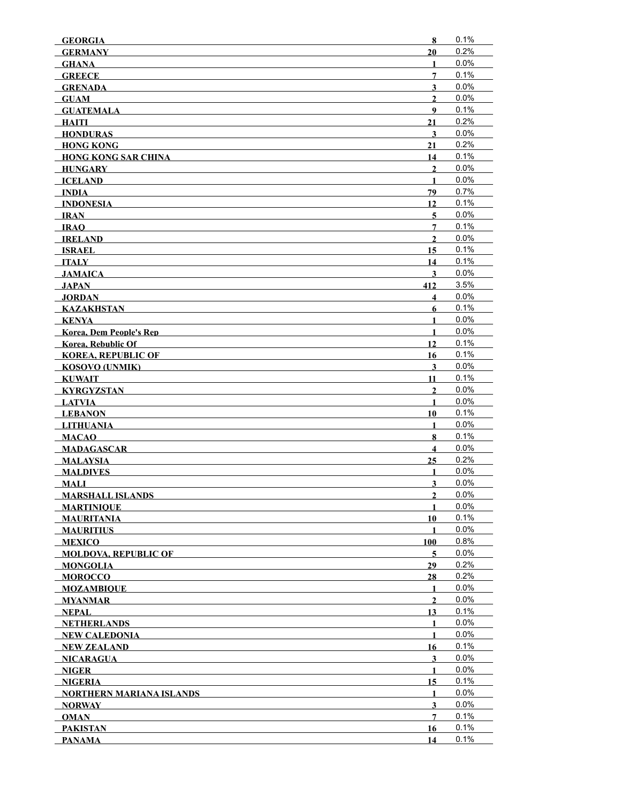| <b>GEORGIA</b>                  | 8                       | 0.1%    |
|---------------------------------|-------------------------|---------|
| <b>GERMANY</b>                  | 20                      | 0.2%    |
| <b>GHANA</b>                    | 1                       | 0.0%    |
| <b>GREECE</b>                   | 7                       | 0.1%    |
| <b>GRENADA</b>                  | $\overline{\mathbf{3}}$ | 0.0%    |
| <b>GUAM</b>                     | $\overline{2}$          | 0.0%    |
| <b>GUATEMALA</b>                | $\boldsymbol{9}$        | 0.1%    |
| <b>HAITI</b>                    | 21                      | 0.2%    |
| <b>HONDURAS</b>                 | 3                       | 0.0%    |
| <b>HONG KONG</b>                | 21                      | 0.2%    |
| <b>HONG KONG SAR CHINA</b>      | 14                      | 0.1%    |
| HUNGARY                         | $\mathbf{2}$            | 0.0%    |
| <b>ICELAND</b>                  | $\mathbf{1}$            | 0.0%    |
| INDIA                           | 79                      | 0.7%    |
| <b>INDONESIA</b>                | 12                      | 0.1%    |
| $\overline{\mathbf{IRAN}}$      | 5                       | 0.0%    |
| <b>IRAO</b>                     | 7                       | 0.1%    |
| <b>IRELAND</b>                  | $\overline{2}$          | 0.0%    |
| <b>ISRAEL</b>                   | 15                      | 0.1%    |
| <b>ITALY</b>                    | 14                      | 0.1%    |
| <b>JAMAICA</b>                  | 3                       | 0.0%    |
| JAPAN                           | 412                     | 3.5%    |
| JORDAN                          | 4                       | 0.0%    |
| <b>KAZAKHSTAN</b>               | 6                       | 0.1%    |
| KENYA                           | $\mathbf{1}$            | 0.0%    |
| <b>Korea, Dem People's Rep</b>  | $\mathbf{1}$            | 0.0%    |
| <b>Korea, Rebublic Of</b>       | 12                      | 0.1%    |
| <b>KOREA, REPUBLIC OF</b>       | 16                      | 0.1%    |
| <b>KOSOVO (UNMIK)</b>           | $\mathbf{3}$            | 0.0%    |
| <b>KUWAIT</b>                   | 11                      | 0.1%    |
| <b>KYRGYZSTAN</b>               | $\overline{2}$          | 0.0%    |
| <b>LATVIA</b>                   | 1                       | 0.0%    |
| <b>LEBANON</b>                  | 10                      | 0.1%    |
| <b>LITHUANIA</b>                | $\mathbf{1}$            | 0.0%    |
| <b>MACAO</b>                    | 8                       | 0.1%    |
| <b>MADAGASCAR</b>               | $\overline{\mathbf{4}}$ | 0.0%    |
| <b>MALAYSIA</b>                 | 25                      | 0.2%    |
| <b>MALDIVES</b>                 | $\mathbf{1}$            | 0.0%    |
| <b>MALI</b>                     | $\mathbf{3}$            | 0.0%    |
| <b>MARSHALL ISLANDS</b>         | $\mathbf{2}$            | 0.0%    |
| <b>MARTINIQUE</b>               | 1                       | 0.0%    |
| <b>MAURITANIA</b>               | 10                      | 0.1%    |
| <b>MAURITIUS</b>                | 1                       | $0.0\%$ |
| <b>MEXICO</b>                   | 100                     | 0.8%    |
| <b>MOLDOVA, REPUBLIC OF</b>     | 5                       | 0.0%    |
| <b>MONGOLIA</b>                 | 29                      | 0.2%    |
| <b>MOROCCO</b>                  | 28                      | 0.2%    |
| <b>MOZAMBIOUE</b>               | $\mathbf{1}$            | 0.0%    |
| <b>MYANMAR</b>                  | $\overline{2}$          | 0.0%    |
|                                 | 13                      | 0.1%    |
| NEPAL                           | 1                       | 0.0%    |
| <b>NETHERLANDS</b>              |                         | 0.0%    |
| NEW CALEDONIA                   | 1<br>16                 | 0.1%    |
| NEW ZEALAND                     |                         | $0.0\%$ |
| NICARAGUA                       | 3                       | $0.0\%$ |
| NIGER                           | 1                       | 0.1%    |
| <b>NIGERIA</b>                  | 15                      |         |
| <b>NORTHERN MARIANA ISLANDS</b> | 1                       | 0.0%    |
| <b>NORWAY</b>                   | $\overline{\mathbf{3}}$ | 0.0%    |
| <b>OMAN</b>                     | $\overline{7}$          | 0.1%    |
| <b>PAKISTAN</b>                 | 16                      | 0.1%    |
| <b>PANAMA</b>                   | 14                      | 0.1%    |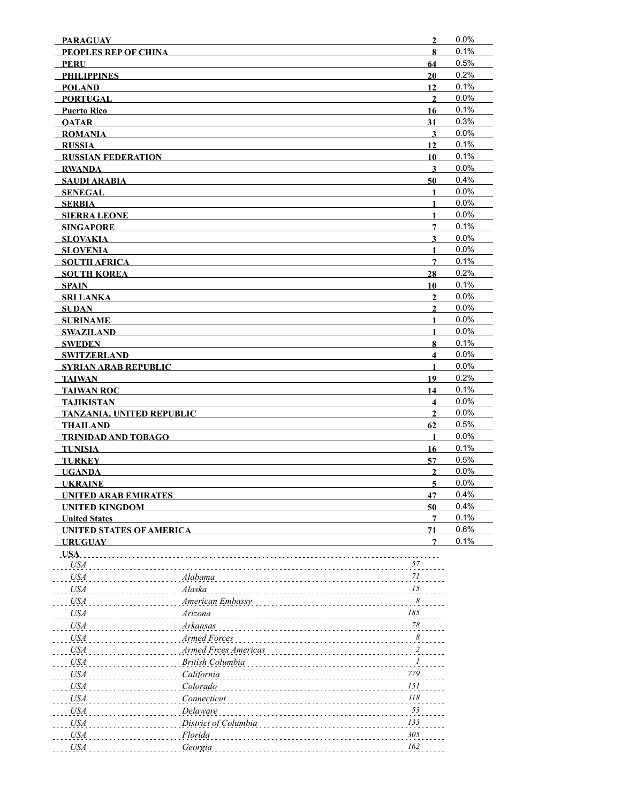| <b>PARAGUAY</b>                  |                      | $\overline{2}$               | 0.0%         |
|----------------------------------|----------------------|------------------------------|--------------|
| PEOPLES REP OF CHINA             |                      | 8                            | 0.1%         |
| <b>PERU</b>                      |                      | 64                           | 0.5%         |
| <b>PHILIPPINES</b>               |                      | 20                           | 0.2%         |
| <b>POLAND</b>                    |                      | 12                           | 0.1%         |
| <b>PORTUGAL</b>                  |                      | $\overline{2}$               | 0.0%         |
| <b>Puerto Rico</b>               |                      | 16                           | 0.1%         |
| <b>OATAR</b>                     |                      | 31                           | 0.3%         |
| <b>ROMANIA</b>                   |                      | $\overline{\mathbf{3}}$      | 0.0%         |
| <b>RUSSIA</b>                    |                      | 12                           | 0.1%         |
| <b>RUSSIAN FEDERATION</b>        |                      | 10                           | 0.1%         |
| <b>RWANDA</b>                    |                      | $\mathbf{3}$                 | 0.0%         |
| <b>SAUDI ARABIA</b>              |                      | 50                           | 0.4%         |
| <b>SENEGAL</b>                   |                      | $\mathbf{1}$                 | 0.0%<br>0.0% |
| <b>SERBIA</b>                    |                      | $\mathbf{1}$                 |              |
| <b>SIERRA LEONE</b>              |                      | 1                            | 0.0%<br>0.1% |
| <b>SINGAPORE</b>                 |                      | 7                            | 0.0%         |
| SLOVAKIA<br><b>SLOVENIA</b>      |                      | $\mathbf{3}$<br>$\mathbf{1}$ | 0.0%         |
| <b>SOUTH AFRICA</b>              |                      | 7                            | 0.1%         |
| <b>SOUTH KOREA</b>               |                      | 28                           | 0.2%         |
| <b>SPAIN</b>                     |                      | 10                           | 0.1%         |
| <b>SRI LANKA</b>                 |                      | $\mathbf{2}$                 | 0.0%         |
| <b>SUDAN</b>                     |                      | $\overline{2}$               | 0.0%         |
| <b>SURINAME</b>                  |                      | $\mathbf{1}$                 | 0.0%         |
| <b>SWAZILAND</b>                 |                      | $\mathbf{1}$                 | 0.0%         |
| <b>SWEDEN</b>                    |                      | 8                            | 0.1%         |
| <b>SWITZERLAND</b>               |                      | $\overline{\mathbf{4}}$      | 0.0%         |
| <b>SYRIAN ARAB REPUBLIC</b>      |                      | 1                            | 0.0%         |
| <b>TAIWAN</b>                    |                      | 19                           | 0.2%         |
| <b>TAIWAN ROC</b>                |                      | 14                           | 0.1%         |
| <b>TAJIKISTAN</b>                |                      | $\overline{\mathbf{4}}$      | 0.0%         |
| <b>TANZANIA, UNITED REPUBLIC</b> |                      | $\mathbf{2}$                 | 0.0%         |
| <b>THAILAND</b>                  |                      | 62                           | 0.5%         |
| TRINIDAD AND TOBAGO              |                      | $\mathbf{1}$                 | 0.0%         |
| <b>TUNISIA</b>                   |                      | 16                           | 0.1%         |
| <b>TURKEY</b>                    |                      | 57                           | 0.5%         |
| <b>UGANDA</b>                    |                      | $\overline{2}$               | 0.0%         |
| <b>UKRAINE</b>                   |                      | $\overline{5}$               | 0.0%         |
| <b>UNITED ARAB EMIRATES</b>      |                      | 47                           | 0.4%         |
| <b>UNITED KINGDOM</b>            |                      | 50                           | 0.4%         |
| <b>United States</b>             |                      | 7                            | 0.1%         |
| <b>UNITED STATES OF AMERICA</b>  |                      | 71                           | 0.6%         |
| <b>URUGUAY</b>                   |                      | 7                            | 0.1%         |
| USA.                             |                      |                              |              |
| <b>USA</b>                       |                      | 57                           |              |
| <b>USA</b>                       | Alabama              | $7 \\ l$                     |              |
| <b>USA</b>                       | Alaska               | 15                           |              |
| <b>USA</b>                       | American Embassy     | $\boldsymbol{\delta}$        |              |
| <b>USA</b>                       | Arizona              | 185                          |              |
| <b>USA</b>                       | Arkansas             | $78\,$                       |              |
| <b>USA</b>                       | <b>Armed Forces</b>  | 8                            |              |
| <b>USA</b>                       | Armed Frces Americas | $\overline{\mathbf{c}}$      |              |
| <b>USA</b>                       | British Columbia     | 1                            |              |
| <b>USA</b>                       | California           | 779                          |              |
| <b>USA</b>                       | Colorado             | 151                          |              |
| <b>USA</b>                       | Connecticut          | $II8$                        |              |
| <b>USA</b>                       | Delaware             | 53                           |              |
| <b>USA</b>                       | District of Columbia | 133                          |              |
| <b>USA</b>                       | Florida              | 305                          |              |
| <b>USA</b>                       | Georgia              | 162                          |              |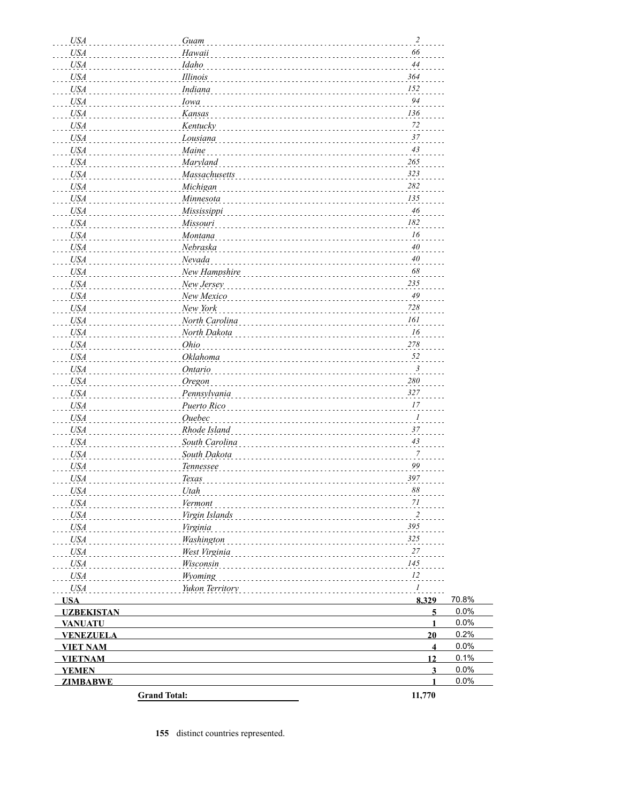| <b>USA</b>          | Guam            | $\sqrt{2}$              |       |
|---------------------|-----------------|-------------------------|-------|
| <b>USA</b>          | Hawaii          | 66                      |       |
| <b>USA</b>          | Idaho           | 44                      |       |
| <b>USA</b>          | Illinois        | 364                     |       |
| <b>USA</b>          | Indiana         | 152                     |       |
| <b>USA</b>          | Iowa            | 94                      |       |
| <b>USA</b>          | Kansas          | 136                     |       |
| <b>USA</b>          | Kentucky        | 72                      |       |
| <b>USA</b>          | Lousiana        | 37                      |       |
| <b>USA</b>          | Maine           | 43                      |       |
| <b>USA</b>          | Maryland        | 265                     |       |
| <b>USA</b>          | Massachusetts   | 323                     |       |
| <b>USA</b>          | Michigan        | 282                     |       |
| <b>USA</b>          | Minnesota       | 135                     |       |
| <b>USA</b>          | Mississippi     | 46                      |       |
| <b>USA</b>          | Missouri        | 182                     |       |
| <b>USA</b>          | Montana         | 16                      |       |
| <b>USA</b>          | Nebraska        | 40                      |       |
| <b>USA</b>          | Nevada          | $40\,$                  |       |
| <b>USA</b>          |                 | 68                      |       |
|                     | New Hampshire   | 235                     |       |
| <b>USA</b>          | New Jersey      | 49                      |       |
| <b>USA</b>          | New Mexico      | 728                     |       |
| <b>USA</b>          | New York        |                         |       |
| <b>USA</b>          | North Carolina  | 161                     |       |
| <b>USA</b>          | North Dakota    | 16                      |       |
| <b>USA</b>          | Ohio            | 278                     |       |
| <b>USA</b>          | Oklahoma        | 52                      |       |
| <b>USA</b>          | <b>Ontario</b>  | $\mathfrak{Z}$          |       |
| <b>USA</b>          | Oregon          | $280\,$                 |       |
| <b>USA</b>          | Pennsylvania    | 327                     |       |
| <b>USA</b>          | Puerto Rico     | 17                      |       |
| <b>USA</b>          | Ouebec          | $\boldsymbol{l}$        |       |
| <b>USA</b>          | Rhode Island    | 37                      |       |
| <b>USA</b>          | South Carolina  | 43                      |       |
| <b>USA</b>          | South Dakota    | $\frac{7}{2}$           |       |
| <b>USA</b>          | Tennessee       | 99                      |       |
| <b>USA</b>          | Texas           | 397                     |       |
| USA <sub>.</sub>    | Utah            | 88                      |       |
| <b>USA</b>          | Vermont         | 71                      |       |
| <b>USA</b>          | Virgin Islands  | $\overline{2}$          |       |
| <b>USA</b>          | Virginia        | 395                     |       |
| <b>USA</b>          | Washington      | 325                     |       |
| <b>USA</b>          | West Virginia   | 27                      |       |
| <b>USA</b>          | Wisconsin       | 145                     |       |
| <b>USA</b>          | Wyoming         | 12                      |       |
| <b>USA</b>          | Yukon Territory | 1                       |       |
| <b>USA</b>          |                 | 8,329                   | 70.8% |
| <b>UZBEKISTAN</b>   |                 | 5                       | 0.0%  |
| <b>VANUATU</b>      |                 | $\mathbf{1}$            | 0.0%  |
| <b>VENEZUELA</b>    |                 | 20                      | 0.2%  |
| <b>VIET NAM</b>     |                 | $\overline{4}$          | 0.0%  |
| <b>VIETNAM</b>      |                 | 12                      | 0.1%  |
| <b>YEMEN</b>        |                 | $\overline{\mathbf{3}}$ | 0.0%  |
| <b>ZIMBABWE</b>     |                 | 1                       | 0.0%  |
| <b>Grand Total:</b> |                 | 11,770                  |       |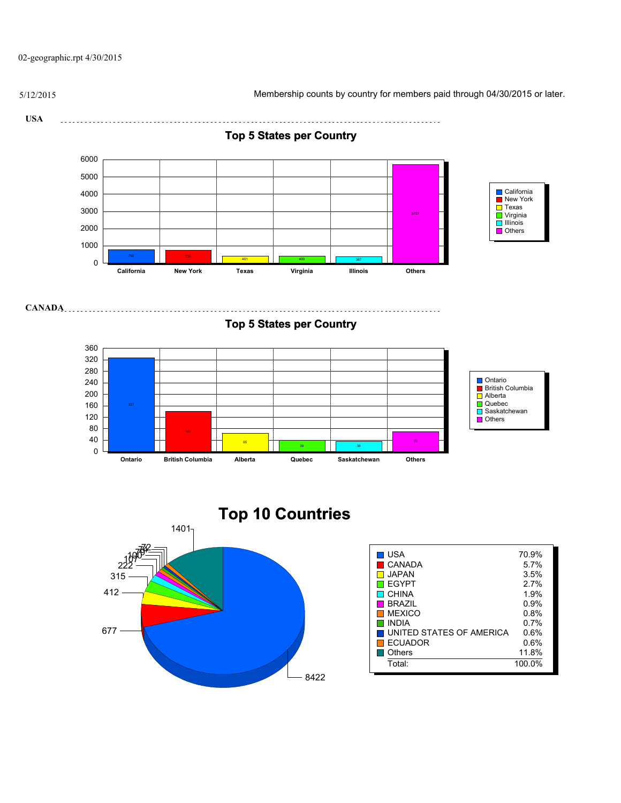02-geographic.rpt 4/30/2015

5/12/2015 Membership counts by country for members paid through 04/30/2015 or later.

**USA** 

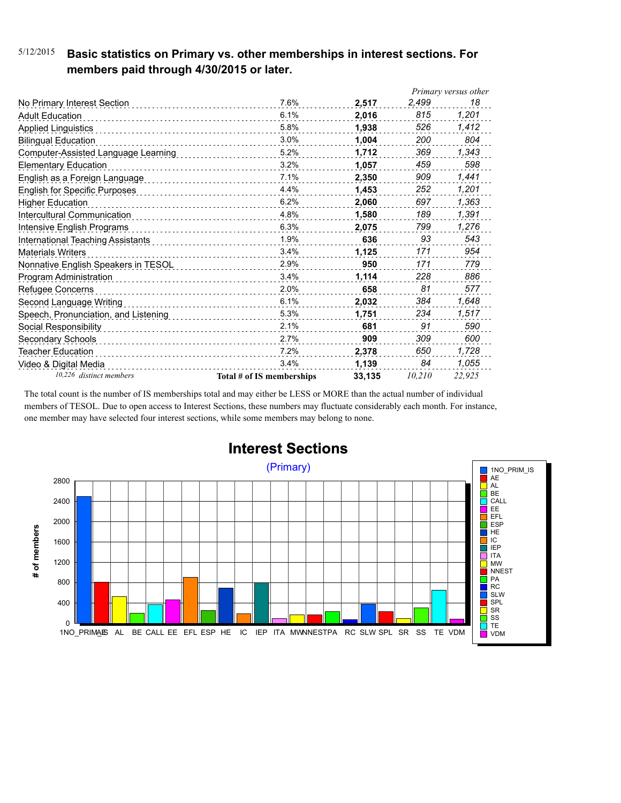### 5/12/2015 **Basic statistics on Primary vs. other memberships in interest sections. For members paid through 4/30/2015 or later.**

|                                      |                           |        |        | Primary versus other |
|--------------------------------------|---------------------------|--------|--------|----------------------|
| No Primary Interest Section          | 7.6%                      | 2,517  | 2,499  | 18                   |
| <b>Adult Education</b>               | 6.1%                      | 2.016  | 815    | 1,201                |
| <b>Applied Linguistics</b>           | 5.8%                      | 1,938  | 526    | 1,412                |
| <b>Bilingual Education</b>           | 3.0%                      | 1,004  | 200    | 804                  |
| Computer-Assisted Language Learning  | 5.2%                      | 1,712  | 369    | 1,343                |
| <b>Elementary Education</b>          | 3.2%                      | 1,057  | 459    | 598                  |
| English as a Foreign Language        | 7.1%                      | 2.350  | 909    | 1,441                |
| <b>English for Specific Purposes</b> | 4.4%                      | 1.453  | 252    | 1,201                |
| <b>Higher Education</b>              | 6.2%                      | 2,060  | 697    | 1,363                |
| Intercultural Communication          | 4.8%                      | 1,580  | 189    | 1,391                |
| Intensive English Programs           | 6.3%                      | 2,075  | 799    | 1,276                |
| International Teaching Assistants    | 1.9%                      | 636    | 93     | 543                  |
| <b>Materials Writers</b>             | 3.4%<br>.                 | 1,125  | 171    | 954                  |
| Nonnative English Speakers in TESOL  | 2.9%                      | 950    | 171    | 779                  |
| Program Administration               | 3.4%                      | 1,114  | 228    | 886                  |
| Refugee Concerns                     | 2.0%                      | 658    | 81     | 577                  |
| Second Language Writing              | 6.1%<br>.                 | 2,032  | 384    | 1,648                |
| Speech, Pronunciation, and Listening | 5.3%                      | 1,751  | 234    | 1,517                |
| Social Responsibility                | 2.1%                      | 681    | 91     | 590                  |
| Secondary Schools                    | 2.7%                      | 909    | 309    | 600                  |
| Teacher Education                    | 7.2%                      | 2,378  | 650    | 1,728                |
| Video & Digital Media                | 3.4%                      | 1,139  | 84     | 1,055                |
| 10,226 distinct members              | Total # of IS memberships | 33,135 | 10,210 | 22.925               |

The total count is the number of IS memberships total and may either be LESS or MORE than the actual number of individual members of TESOL. Due to open access to Interest Sections, these numbers may fluctuate considerably each month. For instance, one member may have selected four interest sections, while some members may belong to none.



## **Interest Sections**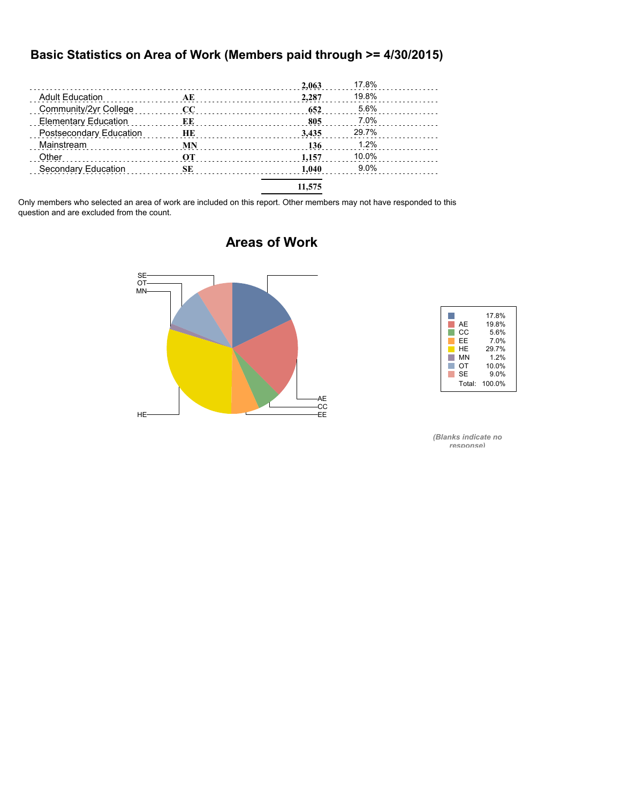#### **Basic Statistics on Area of Work (Members paid through >= 4/30/2015)**

|                                                                |           | 2,063  | 17.8% |  |
|----------------------------------------------------------------|-----------|--------|-------|--|
| <b>Adult Education</b><br>and a complete state of the state of | AE        | 2.287  | 19.8% |  |
| Community/2yr College                                          | cc        | 652    | 5.6%  |  |
| <b>Elementary Education</b>                                    | ЕE        | 805    | 7.0%  |  |
| Postsecondary Education                                        | HE        | 3.435  | 29.7% |  |
| Mainstream                                                     | <b>MN</b> | 136    | 1.2%  |  |
| Other                                                          | OТ        | 1.157  | 10.0% |  |
| Secondary Education                                            | SЕ        | 1.040  | 9.0%  |  |
|                                                                |           | 11.575 |       |  |

Only members who selected an area of work are included on this report. Other members may not have responded to this question and are excluded from the count.



### **Areas of Work**



*(Blanks indicate no response)*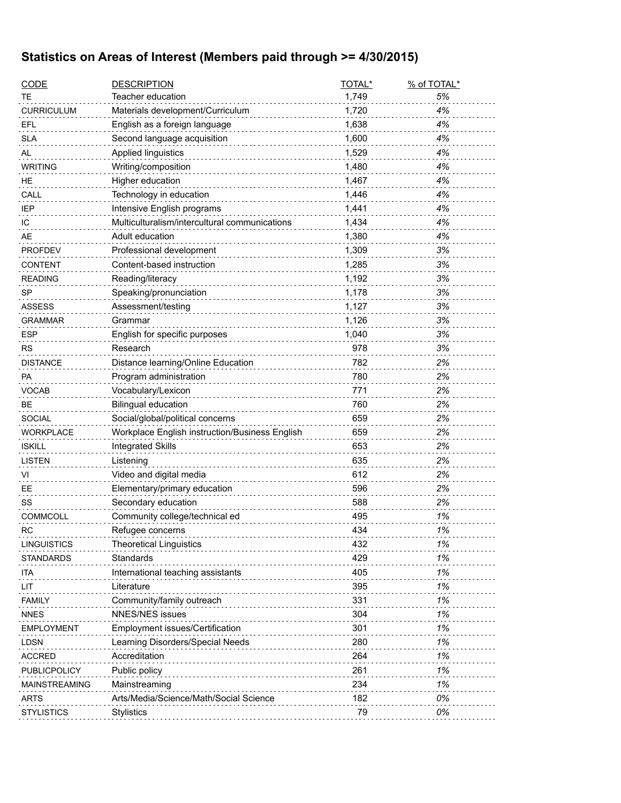## **Statistics on Areas of Interest (Members paid through >= 4/30/2015)**

| <b>CODE</b>          | <b>DESCRIPTION</b>                             | TOTAL* | % of TOTAL* |
|----------------------|------------------------------------------------|--------|-------------|
| TE                   | Teacher education                              | 1,749  | 5%          |
| <b>CURRICULUM</b>    | Materials development/Curriculum               | 1,720  | 4%          |
| EFL                  | English as a foreign language                  | 1,638  | 4%          |
| <b>SLA</b>           | Second language acquisition                    | 1,600  | 4%          |
| AL                   | Applied linguistics                            | 1,529  | 4%          |
| <b>WRITING</b>       | Writing/composition                            | 1,480  | 4%          |
| HE.                  | Higher education                               | 1,467  | 4%          |
| CALL                 | Technology in education                        | 1,446  | 4%          |
| <b>IEP</b>           | Intensive English programs                     | 1,441  | 4%          |
| IC                   | Multiculturalism/intercultural communications  | 1,434  | 4%          |
| AE                   | Adult education                                | 1,380  | 4%          |
| <b>PROFDEV</b>       | Professional development                       | 1,309  | 3%          |
| <b>CONTENT</b>       | Content-based instruction                      | 1,285  | 3%          |
| <b>READING</b>       | Reading/literacy                               | 1,192  | 3%          |
| SP                   | Speaking/pronunciation                         | 1,178  | 3%          |
| <b>ASSESS</b>        | Assessment/testing                             | 1,127  | 3%          |
| <b>GRAMMAR</b>       | Grammar                                        | 1,126  | 3%          |
| <b>ESP</b>           | English for specific purposes                  | 1,040  | 3%          |
| <b>RS</b>            | Research                                       | 978    | 3%          |
| <b>DISTANCE</b>      | Distance learning/Online Education             | 782    | 2%          |
| PA                   | Program administration                         | 780    | 2%          |
| VOCAB                | Vocabulary/Lexicon                             | 771    | 2%          |
| <b>BE</b>            | <b>Bilingual education</b>                     | 760    | 2%          |
| <b>SOCIAL</b>        | Social/global/political concerns               | 659    | 2%          |
| <b>WORKPLACE</b>     | Workplace English instruction/Business English | 659    | 2%          |
| <b>ISKILL</b>        | <b>Integrated Skills</b>                       | 653    | 2%          |
| <b>LISTEN</b>        | Listening                                      | 635    | 2%          |
| VI                   | Video and digital media                        | 612    | 2%          |
| EE                   | Elementary/primary education                   | 596    | 2%          |
| SS                   | Secondary education                            | 588    | 2%          |
| <b>COMMCOLL</b>      | Community college/technical ed                 | 495    | 1%          |
| <b>RC</b>            | Refugee concerns                               | 434    | 1%          |
| <b>LINGUISTICS</b>   | <b>Theoretical Linguistics</b>                 | 432    | 1%          |
| <b>STANDARDS</b>     | Standards                                      | 429    | 1%          |
| ita                  | International teaching assistants              | 405    | 1%          |
| LIT                  | Literature                                     | 395    | 1%          |
| <b>FAMILY</b>        | Community/family outreach                      | 331    | 1%          |
| <b>NNES</b>          | NNES/NES issues                                | 304    | 1%          |
| <b>EMPLOYMENT</b>    | Employment issues/Certification                | 301    | 1%          |
| <b>LDSN</b>          | Learning Disorders/Special Needs               | 280    | 1%          |
| <b>ACCRED</b>        | Accreditation                                  | 264    | 1%          |
| PUBLICPOLICY         | Public policy                                  | 261    | 1%          |
| <b>MAINSTREAMING</b> | Mainstreaming                                  | 234    | 1%          |
| <b>ARTS</b>          | Arts/Media/Science/Math/Social Science         | 182    | 0%          |
| <b>STYLISTICS</b>    | Stylistics                                     | 79     | 0%          |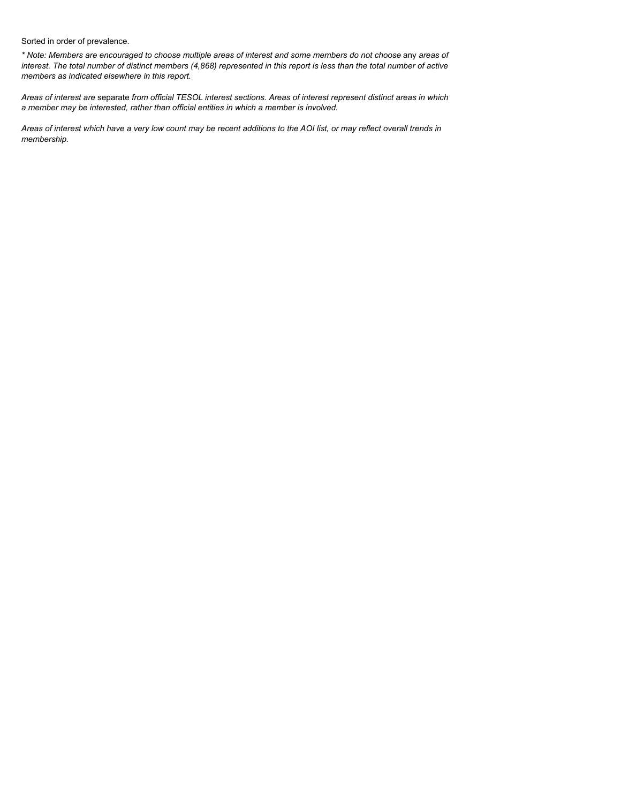Sorted in order of prevalence.

*\* Note: Members are encouraged to choose multiple areas of interest and some members do not choose* any *areas of interest. The total number of distinct members (4,868) represented in this report is less than the total number of active members as indicated elsewhere in this report.*

*Areas of interest are* separate *from official TESOL interest sections. Areas of interest represent distinct areas in which a member may be interested, rather than official entities in which a member is involved.*

*Areas of interest which have a very low count may be recent additions to the AOI list, or may reflect overall trends in membership.*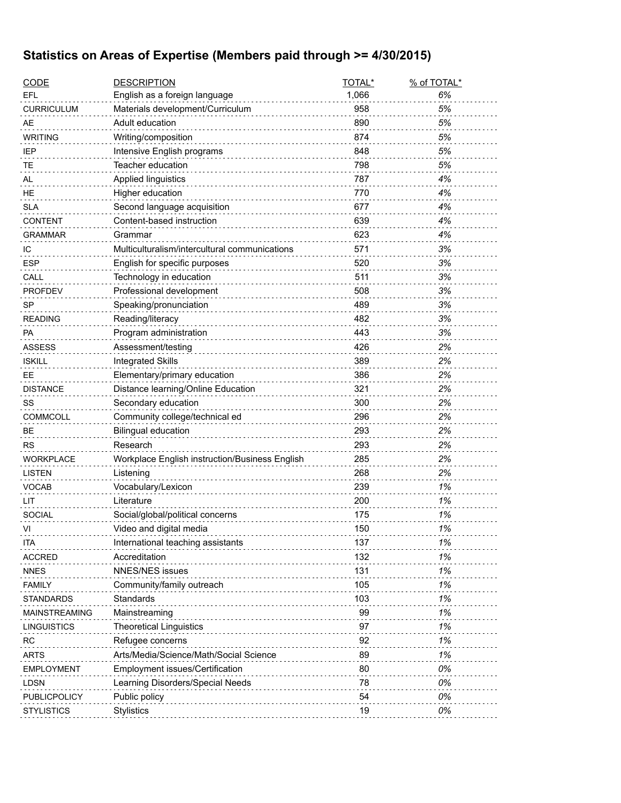## **Statistics on Areas of Expertise (Members paid through >= 4/30/2015)**

| <b>CODE</b>        | <b>DESCRIPTION</b>                             | TOTAL* | % of TOTAL* |
|--------------------|------------------------------------------------|--------|-------------|
| EFL                | English as a foreign language                  | 1,066  | 6%          |
| <b>CURRICULUM</b>  | Materials development/Curriculum               | 958    | 5%          |
| AE                 | Adult education                                | 890    | 5%          |
| <b>WRITING</b>     | Writing/composition                            | 874    | 5%          |
| IEP                | Intensive English programs                     | 848    | 5%          |
| TЕ                 | Teacher education                              | 798    | 5%          |
| AL                 | Applied linguistics                            | 787    | 4%          |
| HE                 | Higher education                               | 770    | 4%          |
| <b>SLA</b>         | Second language acquisition                    | 677    | 4%          |
| <b>CONTENT</b>     | Content-based instruction                      | 639    | 4%          |
| GRAMMAR            | Grammar                                        | 623    | 4%          |
| ТC                 | Multiculturalism/intercultural communications  | 571    | 3%          |
| <b>ESP</b>         | English for specific purposes                  | 520    | 3%          |
| CALL               | Technology in education                        | 511    | 3%          |
| <b>PROFDEV</b>     | Professional development                       | 508    | 3%          |
| <b>SP</b>          | Speaking/pronunciation                         | 489    | 3%          |
| <b>READING</b>     | Reading/literacy                               | 482    | 3%          |
| PA                 | Program administration                         | 443    | 3%          |
| <b>ASSESS</b>      | Assessment/testing                             | 426    | 2%          |
| <b>ISKILL</b>      | <b>Integrated Skills</b>                       | 389    | 2%          |
| EЕ                 | Elementary/primary education                   | 386    | 2%          |
| <b>DISTANCE</b>    | Distance learning/Online Education             | 321    | 2%          |
| SS                 | Secondary education                            | 300    | 2%          |
| COMMCOLL           | Community college/technical ed                 | 296    | 2%          |
| BЕ                 | <b>Bilingual education</b>                     | 293    | 2%          |
| <b>RS</b>          | Research                                       | 293    | 2%          |
| <b>WORKPLACE</b>   | Workplace English instruction/Business English | 285    | 2%          |
| <b>LISTEN</b>      | Listening                                      | 268    | 2%          |
| <b>VOCAB</b>       | Vocabulary/Lexicon                             | 239    | 1%          |
| LIT                | Literature                                     | 200    | 1%          |
| <b>SOCIAL</b>      | Social/global/political concerns               | 175    | 1%          |
| VI                 | Video and digital media                        | 150    | 1%          |
| ITA                | International teaching assistants              | 137    | 1%          |
| <b>ACCRED</b>      | Accreditation                                  | 132    | 1%          |
| <b>NNES</b>        | <b>NNES/NES issues</b>                         | 131    | 1%          |
| <b>FAMILY</b>      | Community/family outreach                      | 105    | 1%          |
| <b>STANDARDS</b>   | Standards                                      | 103    | 1%          |
| MAINSTREAMING      | Mainstreaming                                  | 99     | 1%          |
| <b>LINGUISTICS</b> | <b>Theoretical Linguistics</b>                 | 97     | 1%          |
| RC                 | Refugee concerns                               | 92     | 1%          |
| <b>ARTS</b>        | Arts/Media/Science/Math/Social Science         | 89     | 1%          |
| <b>EMPLOYMENT</b>  | Employment issues/Certification                | 80     | 0%          |
| <b>LDSN</b>        | Learning Disorders/Special Needs               | 78     | 0%          |
| PUBLICPOLICY       | Public policy                                  | 54     | 0%          |
| <b>STYLISTICS</b>  | <b>Stylistics</b>                              | 19     | 0%          |
|                    |                                                |        |             |